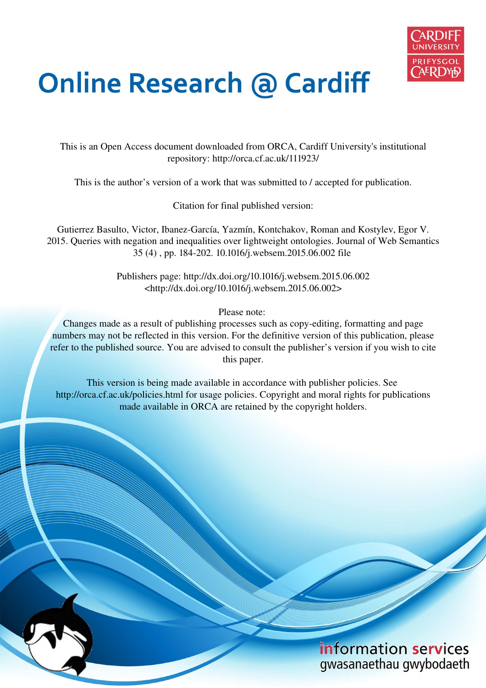

# **Online Research @ Cardiff**

This is an Open Access document downloaded from ORCA, Cardiff University's institutional repository: http://orca.cf.ac.uk/111923/

This is the author's version of a work that was submitted to / accepted for publication.

Citation for final published version:

Gutierrez Basulto, Victor, Ibanez-García, Yazmín, Kontchakov, Roman and Kostylev, Egor V. 2015. Queries with negation and inequalities over lightweight ontologies. Journal of Web Semantics 35 (4) , pp. 184-202. 10.1016/j.websem.2015.06.002 file

> Publishers page: http://dx.doi.org/10.1016/j.websem.2015.06.002 <http://dx.doi.org/10.1016/j.websem.2015.06.002>

> > Please note:

Changes made as a result of publishing processes such as copy-editing, formatting and page numbers may not be reflected in this version. For the definitive version of this publication, please refer to the published source. You are advised to consult the publisher's version if you wish to cite this paper.

This version is being made available in accordance with publisher policies. See http://orca.cf.ac.uk/policies.html for usage policies. Copyright and moral rights for publications made available in ORCA are retained by the copyright holders.

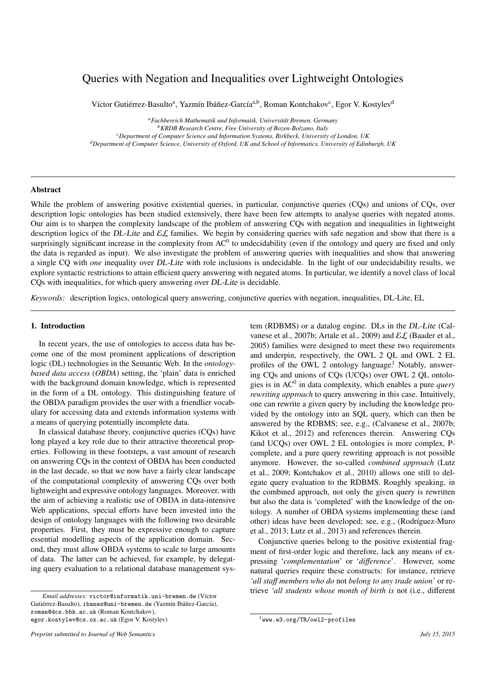## Queries with Negation and Inequalities over Lightweight Ontologies

Víctor Gutiérrez-Basulto<sup>a</sup>, Yazmín Ibáñez-García<sup>a,b</sup>, Roman Kontchakov<sup>c</sup>, Egor V. Kostylev<sup>d</sup>

<sup>a</sup> Fachbereich Mathematik und Informatik, Universität Bremen, Germany *<sup>b</sup>KRDB Research Centre, Free University of Bozen-Bolzano, Italy <sup>c</sup>Department of Computer Science and Information Systems, Birkbeck, University of London, UK <sup>d</sup>Department of Computer Science, University of Oxford, UK and School of Informatics, University of Edinburgh, UK*

#### Abstract

While the problem of answering positive existential queries, in particular, conjunctive queries (CQs) and unions of CQs, over description logic ontologies has been studied extensively, there have been few attempts to analyse queries with negated atoms. Our aim is to sharpen the complexity landscape of the problem of answering CQs with negation and inequalities in lightweight description logics of the DL-Lite and  $\mathcal{E}\mathcal{L}$  families. We begin by considering queries with safe negation and show that there is a surprisingly significant increase in the complexity from  $AC^0$  to undecidability (even if the ontology and query are fixed and only the data is regarded as input). We also investigate the problem of answering queries with inequalities and show that answering a single CQ with *one* inequality over DL-Lite with role inclusions is undecidable. In the light of our undecidability results, we explore syntactic restrictions to attain efficient query answering with negated atoms. In particular, we identify a novel class of local CQs with inequalities, for which query answering over DL-Lite is decidable.

*Keywords:* description logics, ontological query answering, conjunctive queries with negation, inequalities, DL-Lite, EL

#### 1. Introduction

In recent years, the use of ontologies to access data has become one of the most prominent applications of description logic (DL) technologies in the Semantic Web. In the *ontologybased data access* (*OBDA*) setting, the 'plain' data is enriched with the background domain knowledge, which is represented in the form of a DL ontology. This distinguishing feature of the OBDA paradigm provides the user with a friendlier vocabulary for accessing data and extends information systems with a means of querying potentially incomplete data.

In classical database theory, conjunctive queries (CQs) have long played a key role due to their attractive theoretical properties. Following in these footsteps, a vast amount of research on answering CQs in the context of OBDA has been conducted in the last decade, so that we now have a fairly clear landscape of the computational complexity of answering CQs over both lightweight and expressive ontology languages. Moreover, with the aim of achieving a realistic use of OBDA in data-intensive Web applications, special efforts have been invested into the design of ontology languages with the following two desirable properties. First, they must be expressive enough to capture essential modelling aspects of the application domain. Second, they must allow OBDA systems to scale to large amounts of data. The latter can be achieved, for example, by delegating query evaluation to a relational database management sys-

*Email addresses:* victor@informatik.uni-bremen.de (Víctor Gutiérrez-Basulto), ibanez@uni-bremen.de (Yazmín Ibáñez-García), roman@dcs.bbk.ac.uk (Roman Kontchakov), egor.kostylev@cs.ox.ac.uk (Egor V. Kostylev)

tem (RDBMS) or a datalog engine. DLs in the DL-Lite (Calvanese et al., 2007b; Artale et al., 2009) and EL (Baader et al., 2005) families were designed to meet these two requirements and underpin, respectively, the OWL 2 QL and OWL 2 EL profiles of the OWL 2 ontology language.<sup>1</sup> Notably, answering CQs and unions of CQs (UCQs) over OWL 2 QL ontologies is in AC<sup>0</sup> in data complexity, which enables a pure *query rewriting approach* to query answering in this case. Intuitively, one can rewrite a given query by including the knowledge provided by the ontology into an SQL query, which can then be answered by the RDBMS; see, e.g., (Calvanese et al., 2007b; Kikot et al., 2012) and references therein. Answering CQs (and UCQs) over OWL 2 EL ontologies is more complex, Pcomplete, and a pure query rewriting approach is not possible anymore. However, the so-called *combined approach* (Lutz et al., 2009; Kontchakov et al., 2010) allows one still to delegate query evaluation to the RDBMS. Roughly speaking, in the combined approach, not only the given query is rewritten but also the data is 'completed' with the knowledge of the ontology. A number of OBDA systems implementing these (and other) ideas have been developed; see, e.g., (Rodríguez-Muro et al., 2013; Lutz et al., 2013) and references therein.

Conjunctive queries belong to the positive existential fragment of first-order logic and therefore, lack any means of expressing '*complementation*' or '*di*ff*erence*'. However, some natural queries require these constructs: for instance, retrieve *'all sta*ff *members who do* not *belong to any trade union'* or retrieve *'all students whose month of birth is* not (i.e., different

<sup>1</sup>www.w3.org/TR/owl2-profiles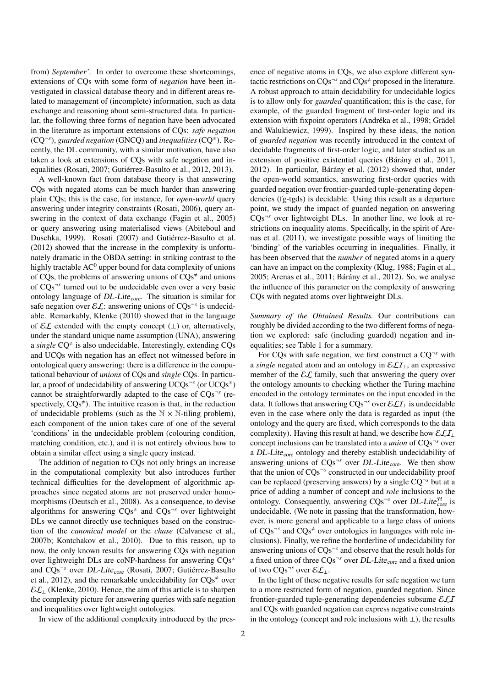from) *September'*. In order to overcome these shortcomings, extensions of CQs with some form of *negation* have been investigated in classical database theory and in different areas related to management of (incomplete) information, such as data exchange and reasoning about semi-structured data. In particular, the following three forms of negation have been advocated in the literature as important extensions of CQs: *safe negation*  $(CQ^{-s})$ , *guarded negation* (GNCQ) and *inequalities* ( $CQ^{\neq}$ ). Recently, the DL community, with a similar motivation, have also taken a look at extensions of CQs with safe negation and inequalities (Rosati, 2007; Gutiérrez-Basulto et al., 2012, 2013).

A well-known fact from database theory is that answering CQs with negated atoms can be much harder than answering plain CQs; this is the case, for instance, for *open-world* query answering under integrity constraints (Rosati, 2006), query answering in the context of data exchange (Fagin et al., 2005) or query answering using materialised views (Abiteboul and Duschka, 1999). Rosati (2007) and Gutiérrez-Basulto et al. (2012) showed that the increase in the complexity is unfortunately dramatic in the OBDA setting: in striking contrast to the highly tractable  $AC<sup>0</sup>$  upper bound for data complexity of unions of CQs, the problems of answering unions of  $CQs<sup>\neq</sup>$  and unions of CQs<sup>¬</sup>*<sup>s</sup>* turned out to be undecidable even over a very basic ontology language of  $DL\text{-}Life_{core}$ . The situation is similar for safe negation over  $\mathcal{EL}$ : answering unions of  $CQs^{-s}$  is undecidable. Remarkably, Klenke (2010) showed that in the language of  $\mathcal{EL}$  extended with the empty concept ( $\perp$ ) or, alternatively, under the standard unique name assumption (UNA), answering a *single* CQ<sup>≠</sup> is also undecidable. Interestingly, extending CQs and UCQs with negation has an effect not witnessed before in ontological query answering: there is a difference in the computational behaviour of *unions* of CQs and *single* CQs. In particular, a proof of undecidability of answering UCQs<sup>-s</sup> (or UCQs<sup> $\neq$ </sup>) cannot be straightforwardly adapted to the case of CQs<sup>-s</sup> (respectively,  $CQs^{\neq}$ ). The intuitive reason is that, in the reduction of undecidable problems (such as the  $N \times N$ -tiling problem), each component of the union takes care of one of the several 'conditions' in the undecidable problem (colouring condition, matching condition, etc.), and it is not entirely obvious how to obtain a similar effect using a single query instead.

The addition of negation to CQs not only brings an increase in the computational complexity but also introduces further technical difficulties for the development of algorithmic approaches since negated atoms are not preserved under homomorphisms (Deutsch et al., 2008). As a consequence, to devise algorithms for answering  $CQs<sup>±</sup>$  and  $CQs<sup>−s</sup>$  over lightweight DLs we cannot directly use techniques based on the construction of the *canonical model* or the *chase* (Calvanese et al., 2007b; Kontchakov et al., 2010). Due to this reason, up to now, the only known results for answering CQs with negation over lightweight DLs are coNP-hardness for answering  $CQs<sup>\neq</sup>$ and CQs<sup>-*s*</sup> over DL-Lite<sub>core</sub> (Rosati, 2007; Gutiérrez-Basulto et al., 2012), and the remarkable undecidability for  $CQs<sup>\neq</sup>$  over  $\mathcal{EL}_\perp$  (Klenke, 2010). Hence, the aim of this article is to sharpen the complexity picture for answering queries with safe negation and inequalities over lightweight ontologies.

In view of the additional complexity introduced by the pres-

ence of negative atoms in CQs, we also explore different syntactic restrictions on  $CQs^{-s}$  and  $CQs^{\neq}$  proposed in the literature. A robust approach to attain decidability for undecidable logics is to allow only for *guarded* quantification; this is the case, for example, of the guarded fragment of first-order logic and its extension with fixpoint operators (Andréka et al., 1998; Grädel and Walukiewicz, 1999). Inspired by these ideas, the notion of *guarded negation* was recently introduced in the context of decidable fragments of first-order logic, and later studied as an extension of positive existential queries (Bárány et al., 2011, 2012). In particular, Bárány et al.  $(2012)$  showed that, under the open-world semantics, answering first-order queries with guarded negation over frontier-guarded tuple-generating dependencies (fg-tgds) is decidable. Using this result as a departure point, we study the impact of guarded negation on answering CQs<sup>¬</sup>*<sup>s</sup>* over lightweight DLs. In another line, we look at restrictions on inequality atoms. Specifically, in the spirit of Arenas et al. (2011), we investigate possible ways of limiting the 'binding' of the variables occurring in inequalities. Finally, it has been observed that the *number* of negated atoms in a query can have an impact on the complexity (Klug, 1988; Fagin et al., 2005; Arenas et al., 2011; Bárány et al., 2012). So, we analyse the influence of this parameter on the complexity of answering CQs with negated atoms over lightweight DLs.

*Summary of the Obtained Results.* Our contributions can roughly be divided according to the two different forms of negation we explored: safe (including guarded) negation and inequalities; see Table 1 for a summary.

For CO<sub>s</sub> with safe negation, we first construct a CO<sup>-s</sup> with a *single* negated atom and an ontology in  $ELT_$ <sub>⊥</sub>, an expressive member of the  $\mathcal{EL}$  family, such that answering the query over the ontology amounts to checking whether the Turing machine encoded in the ontology terminates on the input encoded in the data. It follows that answering CQs<sup>¬*s*</sup> over  $\mathcal{ELI}_\bot$  is undecidable even in the case where only the data is regarded as input (the ontology and the query are fixed, which corresponds to the data complexity). Having this result at hand, we describe how  $\mathcal{ELI}_\perp$ concept inclusions can be translated into a *union* of  $CQs^{-s}$  over a DL-Lite<sub>core</sub> ontology and thereby establish undecidability of answering unions of  $CQs^{-s}$  over *DL-Lite<sub>core</sub>*. We then show that the union of CQs<sup>¬</sup>*<sup>s</sup>* constructed in our undecidability proof can be replaced (preserving answers) by a single CQ<sup>¬</sup>*<sup>s</sup>* but at a price of adding a number of concept and *role* inclusions to the ontology. Consequently, answering  $CQs^{-s}$  over  $DL\text{-}Life_{core}^{\mathcal{H}}$  is undecidable. (We note in passing that the transformation, however, is more general and applicable to a large class of unions of  $CQs^{-s}$  and  $CQs^{\neq}$  over ontologies in languages with role inclusions). Finally, we refine the borderline of undecidability for answering unions of CQs<sup>-s</sup> and observe that the result holds for a fixed union of three  $CQs^{-s}$  over *DL-Lite<sub>core</sub>* and a fixed union of two  $CQs^{-s}$  over  $\mathcal{EL}_\perp$ .

In the light of these negative results for safe negation we turn to a more restricted form of negation, guarded negation. Since frontier-guarded tuple-generating dependencies subsume  $\mathcal{ELI}$ and CQs with guarded negation can express negative constraints in the ontology (concept and role inclusions with ⊥), the results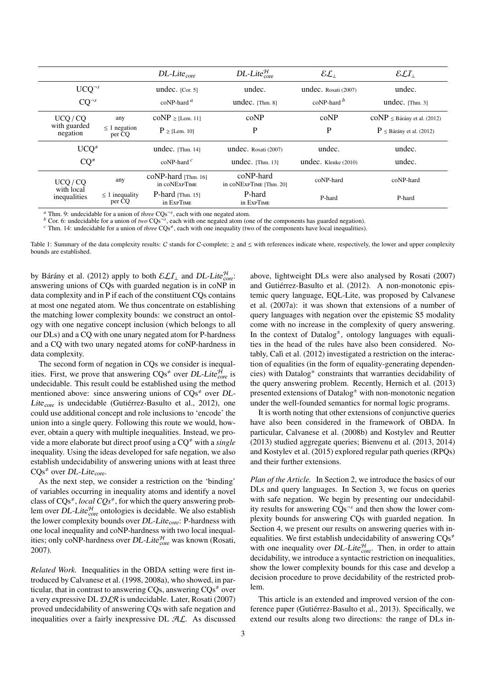|                          |                               | $DL\text{-}Life_{core}$                 | DL-Lite $_{\text{core}}^{\mathcal{H}}$ | $\mathcal{EL}_\perp$   | $\mathcal{ELI}_\bot$              |
|--------------------------|-------------------------------|-----------------------------------------|----------------------------------------|------------------------|-----------------------------------|
| $UCQ^{-s}$               |                               | undec. $[Cor. 5]$                       | undec.                                 | undec. Rosati (2007)   | undec.                            |
| $CQ^{-s}$                |                               | $coNP$ -hard <sup>a</sup>               | undec. $[Thm. 8]$                      | $coNP$ -hard $b$       | undec. $[Thm. 3]$                 |
| UCQ/CO                   | any                           | $coNP \geq [Lem. 11]$                   | coNP                                   | coNP                   | $coNP \leq B$ árány et al. (2012) |
| with guarded<br>negation | $\leq$ 1 negation<br>per CQ   | $P \geq$ [Lem. 10]                      | P                                      | P                      | $P \leq B$ árány et al. (2012)    |
| $UCQ^{\neq}$             |                               | undec. $[Thm. 14]$                      | undec. Rosati (2007)                   | undec.                 | undec.                            |
| $CQ^{\neq}$              |                               | $coNP$ -hard $c$                        | undec. $[Thm. 13]$                     | undec. Klenke $(2010)$ | undec.                            |
| UCO/CO<br>with local     | any                           | $coNP$ -hard [Thm. 16]<br>in CONEXPTIME | coNP-hard<br>in CONEXPTIME [Thm. 20]   | coNP-hard              | coNP-hard                         |
| inequalities             | $\leq$ 1 inequality<br>per CQ | P-hard $[Thm. 15]$<br>in ExpTIME        | P-hard<br>in EXPTIME                   | P-hard                 | P-hard                            |

<sup>a</sup> Thm. 9: undecidable for a union of three CQs<sup>-s</sup>, each with one negated atom.<br>b Cor. 6: undecidable for a union of two CQs<sup>-s</sup>, each with one negated atom (one of the components has guarded negation).

 $c$  Thm. 14: undecidable for a union of *three*  $CQs^2$ , each with one inequality (two of the components have local inequalities).

Table 1: Summary of the data complexity results: C stands for C-complete; ≥ and ≤ with references indicate where, respectively, the lower and upper complexity bounds are established.

by Bárány et al. (2012) apply to both  $\mathcal{ELI}_\bot$  and  $DL\text{-}Life^\mathcal{H}_\text{core}$ : answering unions of CQs with guarded negation is in coNP in data complexity and in P if each of the constituent CQs contains at most one negated atom. We thus concentrate on establishing the matching lower complexity bounds: we construct an ontology with one negative concept inclusion (which belongs to all our DLs) and a CQ with one unary negated atom for P-hardness and a CQ with two unary negated atoms for coNP-hardness in data complexity.

The second form of negation in CQs we consider is inequalities. First, we prove that answering  $CQs^{\neq}$  over *DL-Lite* $_{core}^{\mathcal{H}}$  is undecidable. This result could be established using the method mentioned above: since answering unions of  $CQs<sup>\neq</sup>$  over  $DL$ - $Life<sub>core</sub>$  is undecidable (Gutiérrez-Basulto et al., 2012), one could use additional concept and role inclusions to 'encode' the union into a single query. Following this route we would, however, obtain a query with multiple inequalities. Instead, we provide a more elaborate but direct proof using a  $CQ^{\neq}$  with a *single* inequality. Using the ideas developed for safe negation, we also establish undecidability of answering unions with at least three  $CQs^{\neq}$  over DL-Lite<sub>core</sub>.

As the next step, we consider a restriction on the 'binding' of variables occurring in inequality atoms and identify a novel class of  $CQs^{\neq}$ , *local*  $CQs^{\neq}$ , for which the query answering problem over DL-Lite $_{core}^{\mathcal{H}}$  ontologies is decidable. We also establish the lower complexity bounds over  $DL\text{-}Lite_{\text{core}}$ : P-hardness with one local inequality and coNP-hardness with two local inequalities; only coNP-hardness over *DL-Lite<sup>H</sup>* was known (Rosati, 2007).

*Related Work.* Inequalities in the OBDA setting were first introduced by Calvanese et al. (1998, 2008a), who showed, in particular, that in contrast to answering CQs, answering  $CQs^{\neq}$  over a very expressive DL  $DLR$  is undecidable. Later, Rosati (2007) proved undecidability of answering CQs with safe negation and inequalities over a fairly inexpressive DL AL. As discussed above, lightweight DLs were also analysed by Rosati (2007) and Gutiérrez-Basulto et al. (2012). A non-monotonic epistemic query language, EQL-Lite, was proposed by Calvanese et al. (2007a): it was shown that extensions of a number of query languages with negation over the epistemic S5 modality come with no increase in the complexity of query answering. In the context of Datalog<sup>±</sup>, ontology languages with equalities in the head of the rules have also been considered. Notably, Calì et al. (2012) investigated a restriction on the interaction of equalities (in the form of equality-generating dependencies) with Datalog<sup>±</sup> constraints that warranties decidability of the query answering problem. Recently, Hernich et al. (2013) presented extensions of Datalog $\pm$  with non-monotonic negation under the well-founded semantics for normal logic programs.

It is worth noting that other extensions of conjunctive queries have also been considered in the framework of OBDA. In particular, Calvanese et al. (2008b) and Kostylev and Reutter (2013) studied aggregate queries; Bienvenu et al. (2013, 2014) and Kostylev et al. (2015) explored regular path queries (RPQs) and their further extensions.

*Plan of the Article.* In Section 2, we introduce the basics of our DLs and query languages. In Section 3, we focus on queries with safe negation. We begin by presenting our undecidability results for answering CQs<sup>¬</sup>*<sup>s</sup>* and then show the lower complexity bounds for answering CQs with guarded negation. In Section 4, we present our results on answering queries with inequalities. We first establish undecidability of answering  $CQs^2$ with one inequality over DL-Lite $_{\text{core}}^{\mathcal{H}}$ . Then, in order to attain decidability, we introduce a syntactic restriction on inequalities, show the lower complexity bounds for this case and develop a decision procedure to prove decidability of the restricted problem.

This article is an extended and improved version of the conference paper (Gutiérrez-Basulto et al., 2013). Specifically, we extend our results along two directions: the range of DLs in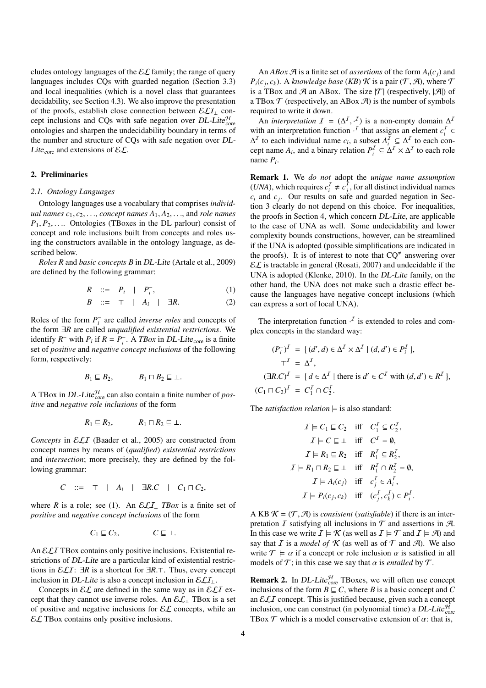cludes ontology languages of the  $\mathcal{EL}$  family; the range of query languages includes CQs with guarded negation (Section 3.3) and local inequalities (which is a novel class that guarantees decidability, see Section 4.3). We also improve the presentation of the proofs, establish close connection between  $\mathcal{ELI}_\perp$  concept inclusions and CQs with safe negation over DL-Lite $_{core}^{H}$ ontologies and sharpen the undecidability boundary in terms of the number and structure of CQs with safe negation over DL-Lite<sub>core</sub> and extensions of  $\mathcal{EL}$ .

## 2. Preliminaries

#### *2.1. Ontology Languages*

Ontology languages use a vocabulary that comprises *individual names*  $c_1, c_2, \ldots$ , *concept names*  $A_1, A_2, \ldots$ , and *role names*  $P_1, P_2, \ldots$  Ontologies (TBoxes in the DL parlour) consist of concept and role inclusions built from concepts and roles using the constructors available in the ontology language, as described below.

*Roles R* and *basic concepts B* in DL-Lite (Artale et al., 2009) are defined by the following grammar:

$$
R \quad ::= \quad P_i \quad | \quad P_i^-, \tag{1}
$$

$$
B \quad ::= \quad \top \quad | \quad A_i \quad | \quad \exists R. \tag{2}
$$

Roles of the form  $P_i^-$  are called *inverse roles* and concepts of the form ∃*R* are called *unqualified existential restrictions*. We identify  $R^-$  with  $P_i$  if  $R = P_i^-$ . A *TBox* in DL-Lite<sub>core</sub> is a finite set of *positive* and *negative concept inclusions* of the following form, respectively:

$$
B_1 \sqsubseteq B_2, \qquad B_1 \sqcap B_2 \sqsubseteq \bot.
$$

A TBox in *DL-Lite* $_{core}^{\mathcal{H}}$  can also contain a finite number of *positive* and *negative role inclusions* of the form

$$
R_1 \sqsubseteq R_2, \qquad R_1 \sqcap R_2 \sqsubseteq \bot.
$$

*Concepts* in ELI (Baader et al., 2005) are constructed from concept names by means of (*qualified*) *existential restrictions* and *intersection*; more precisely, they are defined by the following grammar:

$$
C \quad ::= \quad \top \quad | \quad A_i \quad | \quad \exists R.C \quad | \quad C_1 \sqcap C_2,
$$

where *R* is a role; see (1). An  $\mathcal{ELI}_\perp$  *TBox* is a finite set of *positive* and *negative concept inclusions* of the form

$$
C_1 \sqsubseteq C_2, \qquad C \sqsubseteq \bot.
$$

An  $\mathcal{ELI}$  TBox contains only positive inclusions. Existential restrictions of DL-Lite are a particular kind of existential restrictions in ELI: ∃*R* is a shortcut for ∃*R*.⊤. Thus, every concept inclusion in DL-Lite is also a concept inclusion in  $\mathcal{ELI}_\perp$ .

Concepts in  $\mathcal{EL}$  are defined in the same way as in  $\mathcal{ELI}$  except that they cannot use inverse roles. An  $\mathcal{EL}_{\perp}$  TBox is a set of positive and negative inclusions for  $\mathcal{EL}$  concepts, while an  $\mathcal{EL}$  TBox contains only positive inclusions.

An *ABox*  $\mathcal{A}$  is a finite set of *assertions* of the form  $A_i(c_i)$  and  $P_i(c_j, c_k)$ . A *knowledge base* (*KB*)  $K$  is a pair (*T*,  $\mathcal{A}$ ), where  $\mathcal{T}$ is a TBox and  $\mathcal A$  an ABox. The size  $|\mathcal T|$  (respectively,  $|\mathcal A|$ ) of a TBox  $\mathcal T$  (respectively, an ABox  $\mathcal A$ ) is the number of symbols required to write it down.

An *interpretation*  $I = (\Delta^I, \cdot^I)$  is a non-empty domain  $\Delta^I$ with an interpretation function  $\cdot^I$  that assigns an element  $c_i^I$   $\in$  $\Delta^I$  to each individual name *c<sub>i</sub>*, a subset  $A_i^I \subseteq \Delta^I$  to each concept name  $A_i$ , and a binary relation  $P_i^{\mathcal{I}} \subseteq \Delta^{\mathcal{I}} \times \Delta^{\mathcal{I}}$  to each role name *P<sup>i</sup>* .

Remark 1. We *do not* adopt the *unique name assumption* (*UNA*), which requires  $c_i^T \neq c_j^T$ , for all distinct individual names  $c_i$  and  $c_j$ . Our results on safe and guarded negation in Section 3 clearly do not depend on this choice. For inequalities, the proofs in Section 4, which concern DL-Lite, are applicable to the case of UNA as well. Some undecidability and lower complexity bounds constructions, however, can be streamlined if the UNA is adopted (possible simplifications are indicated in the proofs). It is of interest to note that  $CQ^{\neq}$  answering over  $\mathcal{EL}$  is tractable in general (Rosati, 2007) and undecidable if the UNA is adopted (Klenke, 2010). In the DL-Lite family, on the other hand, the UNA does not make such a drastic effect because the languages have negative concept inclusions (which can express a sort of local UNA).

The interpretation function  $\cdot^I$  is extended to roles and complex concepts in the standard way:

$$
(P_i^-)^T = \{ (d', d) \in \Delta^T \times \Delta^T \mid (d, d') \in P_i^T \},
$$
  
\n
$$
\tau^T = \Delta^T,
$$
  
\n
$$
(\exists R.C)^T = \{ d \in \Delta^T \mid \text{there is } d' \in C^T \text{ with } (d, d') \in R^T \},
$$
  
\n
$$
(C_1 \sqcap C_2)^T = C_1^T \cap C_2^T.
$$

The *satisfaction relation*  $\models$  is also standard:

$$
I \models C_1 \sqsubseteq C_2 \quad \text{iff} \quad C_1^T \subseteq C_2^T,
$$
  
\n
$$
I \models C \sqsubseteq \bot \quad \text{iff} \quad C^T = \emptyset,
$$
  
\n
$$
I \models R_1 \sqsubseteq R_2 \quad \text{iff} \quad R_1^T \subseteq R_2^T,
$$
  
\n
$$
I \models R_1 \sqcap R_2 \sqsubseteq \bot \quad \text{iff} \quad R_1^T \cap R_2^T = \emptyset,
$$
  
\n
$$
I \models A_i(c_j) \quad \text{iff} \quad c_j^T \in A_i^T,
$$
  
\n
$$
I \models P_i(c_j, c_k) \quad \text{iff} \quad (c_j^T, c_k^T) \in P_i^T.
$$

A KB  $K = (\mathcal{T}, \mathcal{A})$  is *consistent* (*satisfiable*) if there is an interpretation  $I$  satisfying all inclusions in  $\mathcal T$  and assertions in  $\mathcal A$ . In this case we write  $I \models \mathcal{K}$  (as well as  $I \models \mathcal{T}$  and  $I \models \mathcal{A}$ ) and say that *I* is a *model of*  $K$  (as well as of  $T$  and  $H$ ). We also write  $\mathcal{T} \models \alpha$  if a concept or role inclusion  $\alpha$  is satisfied in all models of  $\mathcal{T}$ ; in this case we say that  $\alpha$  is *entailed* by  $\mathcal{T}$ .

**Remark 2.** In DL-Lite $_{core}^{H}$  TBoxes, we will often use concept inclusions of the form  $B \sqsubseteq C$ , where *B* is a basic concept and *C* an  $\mathcal{ELI}$  concept. This is justified because, given such a concept inclusion, one can construct (in polynomial time) a DL-Lite $_{\text{core}}^{\tilde{\mathcal{H}}}$ TBox  $\mathcal T$  which is a model conservative extension of  $\alpha$ : that is,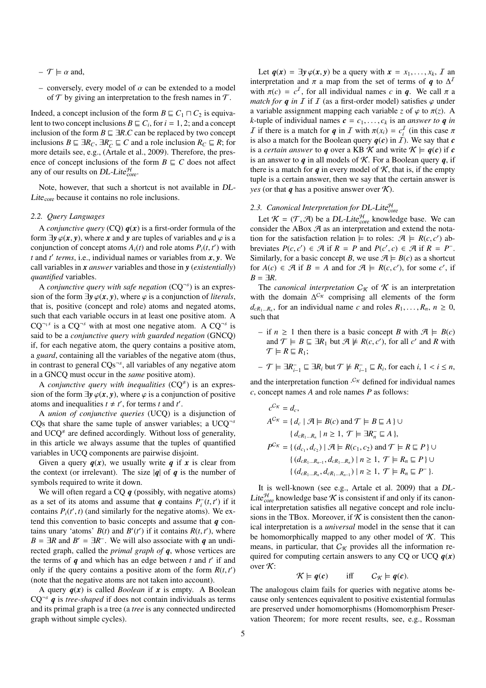- $\mathcal{T} \models \alpha$  and,
- conversely, every model of  $\alpha$  can be extended to a model of  $\mathcal T$  by giving an interpretation to the fresh names in  $\mathcal T$ .

Indeed, a concept inclusion of the form  $B \sqsubseteq C_1 \sqcap C_2$  is equivalent to two concept inclusions  $B \sqsubseteq C_i$ , for  $i = 1, 2$ ; and a concept inclusion of the form  $B \sqsubseteq \exists R.C$  can be replaced by two concept inclusions *B* ⊑ ∃*R<sub>C</sub>*, ∃*R*<sub>*C*</sub> ⊑ *C* and a role inclusion *R<sub>C</sub>* ⊆ *R*; for more details see, e.g., (Artale et al., 2009). Therefore, the presence of concept inclusions of the form  $B \subseteq C$  does not affect any of our results on DL-Lite $_{core}^{\mathcal{H}}$ .

Note, however, that such a shortcut is not available in DL-Lite<sub>core</sub> because it contains no role inclusions.

#### *2.2. Query Languages*

A *conjunctive query* (CQ)  $q(x)$  is a first-order formula of the form  $\exists y \varphi(x, y)$ , where *x* and *y* are tuples of variables and  $\varphi$  is a conjunction of concept atoms  $A_i(t)$  and role atoms  $P_i(t, t')$  with *t* and *t* ′ *terms*, i.e., individual names or variables from *x*, *y*. We call variables in *x answer* variables and those in *y* (*existentially*) *quantified* variables.

A *conjunctive query with safe negation* (CQ<sup>¬</sup>*<sup>s</sup>* ) is an expression of the form  $\exists y \varphi(x, y)$ , where  $\varphi$  is a conjunction of *literals*, that is, positive (concept and role) atoms and negated atoms, such that each variable occurs in at least one positive atom. A  $CQ^{-1}$ <sup>s</sup> is a  $CQ^{-s}$  with at most one negative atom. A  $CQ^{-s}$  is said to be a *conjunctive query with guarded negation* (GNCQ) if, for each negative atom, the query contains a positive atom, a *guard*, containing all the variables of the negative atom (thus, in contrast to general CQs<sup>¬</sup>*<sup>s</sup>* , all variables of any negative atom in a GNCQ must occur in the *same* positive atom).

A *conjunctive query with inequalities*  $(CQ^{\neq})$  is an expression of the form  $\exists y \varphi(x, y)$ , where  $\varphi$  is a conjunction of positive atoms and inequalities  $t \neq t'$ , for terms *t* and *t'*.

A *union of conjunctive queries* (UCQ) is a disjunction of CQs that share the same tuple of answer variables; a UCQ<sup>¬</sup>*<sup>s</sup>* and  $UCQ^{\neq}$  are defined accordingly. Without loss of generality, in this article we always assume that the tuples of quantified variables in UCQ components are pairwise disjoint.

Given a query  $q(x)$ , we usually write q if x is clear from the context (or irrelevant). The size  $|q|$  of  $q$  is the number of symbols required to write it down.

We will often regard a CQ  $q$  (possibly, with negative atoms) as a set of its atoms and assume that *q* contains  $P_i^-(t, t')$  if it contains  $P_i(t',t)$  (and similarly for the negative atoms). We extend this convention to basic concepts and assume that *q* contains unary 'atoms'  $B(t)$  and  $B'(t')$  if it contains  $R(t, t')$ , where  $B = \exists R$  and  $B' = \exists R^-$ . We will also associate with *q* an undirected graph, called the *primal graph of q*, whose vertices are the terms of  $q$  and which has an edge between  $t$  and  $t'$  if and only if the query contains a positive atom of the form  $R(t, t')$ (note that the negative atoms are not taken into account).

A query  $q(x)$  is called *Boolean* if x is empty. A Boolean CQ<sup>¬</sup>*<sup>s</sup> q* is *tree-shaped* if does not contain individuals as terms and its primal graph is a tree (a *tree* is any connected undirected graph without simple cycles).

Let  $q(x) = \exists y \, \varphi(x, y)$  be a query with  $x = x_1, \ldots, x_k, T$  and interpretation and  $\pi$  a map from the set of terms of *q* to  $\Delta^I$ with  $\pi(c) = c^{\mathcal{I}}$ , for all individual names *c* in *q*. We call  $\pi$  a *match for*  $q$  *in*  $I$  if  $I$  (as a first-order model) satisfies  $\varphi$  under a variable assignment mapping each variable *z* of  $\varphi$  to  $\pi(z)$ . A *k*-tuple of individual names  $\mathbf{c} = c_1, \ldots, c_k$  is an *answer to q in I* if there is a match for *q* in *I* with  $\pi(x_i) = c_i^I$  (in this case  $\pi$ is also a match for the Boolean query  $q(c)$  in  $\overline{I}$ ). We say that  $c$ is a *certain answer* to **q** over a KB K and write  $K \models q(c)$  if **c** is an answer to  $q$  in all models of  $K$ . For a Boolean query  $q$ , if there is a match for  $q$  in every model of  $K$ , that is, if the empty tuple is a certain answer, then we say that the certain answer is *yes* (or that  $q$  has a positive answer over  $K$ ).

## 2.3. Canonical Interpretation for DL-Lite $_{\text{core}}^{\mathcal{H}}$

Let  $\mathcal{K} = (\mathcal{T}, \mathcal{A})$  be a DL-Lite $_{core}^{\mathcal{H}}$  knowledge base. We can consider the ABox  $A$  as an interpretation and extend the notation for the satisfaction relation  $\models$  to roles:  $\mathcal{A} \models R(c, c')$  abbreviates  $P(c, c') \in \mathcal{A}$  if  $R = P$  and  $P(c', c) \in \mathcal{A}$  if  $R = P^{-}$ . Similarly, for a basic concept *B*, we use  $\mathcal{A} \models B(c)$  as a shortcut for  $A(c) \in \mathcal{A}$  if  $B = A$  and for  $\mathcal{A} \models R(c, c')$ , for some *c'*, if  $B = \exists R$ .

The *canonical interpretation*  $C_K$  of K is an interpretation with the domain  $\Delta^{C_{\mathcal{K}}}$  comprising all elements of the form  $d_{cR_1...R_n}$ , for an individual name *c* and roles  $R_1, \ldots, R_n$ ,  $n \geq 0$ , such that

– if *n* ≥ 1 then there is a basic concept *B* with  $\mathcal{A}$   $\models$  *B*(*c*) and  $\mathcal{T} \models B \sqsubseteq \exists R_1$  but  $\mathcal{A} \not\models R(c, c')$ , for all *c'* and *R* with  $\mathcal{T} \models R \sqsubseteq R_1;$ 

$$
- \mathcal{T} \models \exists R_{i-1}^- \sqsubseteq \exists R_i \text{ but } \mathcal{T} \not\models R_{i-1}^- \sqsubseteq R_i \text{, for each } i, 1 < i \leq n,
$$

and the interpretation function  $\mathcal{C}_{\kappa}$  defined for individual names *c*, concept names *A* and role names *P* as follows:

$$
c^{C_K} = d_c,
$$
  
\n
$$
A^{C_K} = \{ d_c \mid \mathcal{A} \models B(c) \text{ and } \mathcal{T} \models B \sqsubseteq A \} \cup
$$
  
\n
$$
\{ d_{cR_1...R_n} \mid n \ge 1, \mathcal{T} \models \exists R_n^- \sqsubseteq A \},
$$
  
\n
$$
P^{C_K} = \{ (d_{c_1}, d_{c_2}) \mid \mathcal{A} \models R(c_1, c_2) \text{ and } \mathcal{T} \models R \sqsubseteq P \} \cup
$$
  
\n
$$
\{ (d_{cR_1...R_{n-1}}, d_{cR_1...R_n}) \mid n \ge 1, \mathcal{T} \models R_n \sqsubseteq P \} \cup
$$
  
\n
$$
\{ (d_{cR_1...R_n}, d_{cR_1...R_{n-1}}) \mid n \ge 1, \mathcal{T} \models R_n \sqsubseteq P \}.
$$

It is well-known (see e.g., Artale et al. 2009) that a DL-Lite<sup>H</sup><sub>core</sub> knowledge base K is consistent if and only if its canonical interpretation satisfies all negative concept and role inclusions in the TBox. Moreover, if  $K$  is consistent then the canonical interpretation is a *universal* model in the sense that it can be homomorphically mapped to any other model of  $K$ . This means, in particular, that  $C_{\mathcal{K}}$  provides all the information required for computing certain answers to any CQ or UCQ *q*(*x*) over K:

$$
\mathcal{K} \models q(c) \quad \text{iff} \quad C_{\mathcal{K}} \models q(c).
$$

The analogous claim fails for queries with negative atoms because only sentences equivalent to positive existential formulas are preserved under homomorphisms (Homomorphism Preservation Theorem; for more recent results, see, e.g., Rossman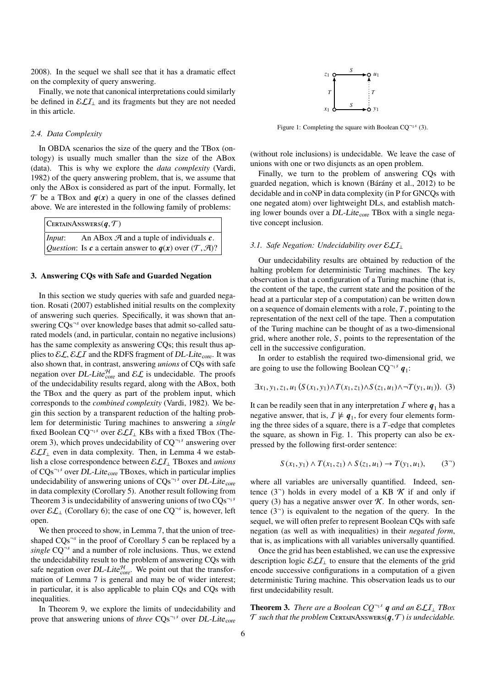2008). In the sequel we shall see that it has a dramatic effect on the complexity of query answering.

Finally, we note that canonical interpretations could similarly be defined in  $\mathcal{ELI}_\bot$  and its fragments but they are not needed in this article.

### *2.4. Data Complexity*

In OBDA scenarios the size of the query and the TBox (ontology) is usually much smaller than the size of the ABox (data). This is why we explore the *data complexity* (Vardi, 1982) of the query answering problem, that is, we assume that only the ABox is considered as part of the input. Formally, let  $\mathcal T$  be a TBox and  $q(x)$  a query in one of the classes defined above. We are interested in the following family of problems:

| CerctanAnswers(q, T) |                                                                                       |  |  |
|----------------------|---------------------------------------------------------------------------------------|--|--|
|                      | <i>Input</i> : An ABox $\mathcal{A}$ and a tuple of individuals $c$ .                 |  |  |
|                      | <i>Question</i> : Is c a certain answer to $q(x)$ over $(\mathcal{T}, \mathcal{A})$ ? |  |  |

#### 3. Answering CQs with Safe and Guarded Negation

In this section we study queries with safe and guarded negation. Rosati (2007) established initial results on the complexity of answering such queries. Specifically, it was shown that answering CQs<sup>¬</sup>*<sup>s</sup>* over knowledge bases that admit so-called saturated models (and, in particular, contain no negative inclusions) has the same complexity as answering CQs; this result thus applies to  $\mathcal{EL}, \mathcal{ELI}$  and the RDFS fragment of DL-Lite<sub>core</sub>. It was also shown that, in contrast, answering *unions* of CQs with safe negation over DL-Lite $^{\mathcal{H}}_{\text{core}}$  and  $\mathcal{EL}$  is undecidable. The proofs of the undecidability results regard, along with the ABox, both the TBox and the query as part of the problem input, which corresponds to the *combined complexity* (Vardi, 1982). We begin this section by a transparent reduction of the halting problem for deterministic Turing machines to answering a *single* fixed Boolean CQ<sup>¬15</sup> over  $\mathcal{ELI}_\perp$  KBs with a fixed TBox (Theorem 3), which proves undecidability of CQ<sup>-15</sup> answering over  $\mathcal{ELI}_\perp$  even in data complexity. Then, in Lemma 4 we establish a close correspondence between ELI<sup>⊥</sup> TBoxes and *unions* of CQs<sup>-15</sup> over DL-Lite<sub>core</sub> TBoxes, which in particular implies undecidability of answering unions of  $CQs^{-1}$ <sup>*s*</sup> over *DL-Lite<sub>core</sub>* in data complexity (Corollary 5). Another result following from Theorem 3 is undecidability of answering unions of two  $CQs<sup>{13}</sup>$ over  $\mathcal{EL}_{\perp}$  (Corollary 6); the case of one CQ<sup>-*s*</sup> is, however, left open.

We then proceed to show, in Lemma 7, that the union of treeshaped CQs<sup>-s</sup> in the proof of Corollary 5 can be replaced by a *single* CQ<sup>¬</sup>*<sup>s</sup>* and a number of role inclusions. Thus, we extend the undecidability result to the problem of answering CQs with safe negation over DL-Lite $_{\text{core}}^{\mathcal{H}}$ . We point out that the transformation of Lemma 7 is general and may be of wider interest; in particular, it is also applicable to plain CQs and CQs with inequalities.

In Theorem 9, we explore the limits of undecidability and prove that answering unions of *three*  $CQs^{-1}$ <sup>*s*</sup> over DL-Lite<sub>core</sub>



Figure 1: Completing the square with Boolean  $CQ^{-1}$ <sup>s</sup> (3).

(without role inclusions) is undecidable. We leave the case of unions with one or two disjuncts as an open problem.

Finally, we turn to the problem of answering CQs with guarded negation, which is known (Bárány et al., 2012) to be decidable and in coNP in data complexity (in P for GNCQs with one negated atom) over lightweight DLs, and establish matching lower bounds over a  $DL\text{-}Life_{core}$  TBox with a single negative concept inclusion.

#### *3.1. Safe Negation: Undecidability over* ELI<sup>⊥</sup>

Our undecidability results are obtained by reduction of the halting problem for deterministic Turing machines. The key observation is that a configuration of a Turing machine (that is, the content of the tape, the current state and the position of the head at a particular step of a computation) can be written down on a sequence of domain elements with a role, *T*, pointing to the representation of the next cell of the tape. Then a computation of the Turing machine can be thought of as a two-dimensional grid, where another role, *S* , points to the representation of the cell in the successive configuration.

In order to establish the required two-dimensional grid, we are going to use the following Boolean CQ<sup>-15</sup>  $q_1$ :

$$
\exists x_1, y_1, z_1, u_1 (S(x_1, y_1) \wedge T(x_1, z_1) \wedge S(z_1, u_1) \wedge \neg T(y_1, u_1)).
$$
 (3)

It can be readily seen that in any interpretation  $I$  where  $q_1$  has a negative answer, that is,  $\mathcal{I} \not\models q_1$ , for every four elements forming the three sides of a square, there is a *T*-edge that completes the square, as shown in Fig. 1. This property can also be expressed by the following first-order sentence:

$$
S(x_1, y_1) \wedge T(x_1, z_1) \wedge S(z_1, u_1) \to T(y_1, u_1), \quad (3^-)
$$

where all variables are universally quantified. Indeed, sentence  $(3^-)$  holds in every model of a KB  $\mathcal K$  if and only if query (3) has a negative answer over  $\mathcal K$ . In other words, sentence  $(3<sup>-</sup>)$  is equivalent to the negation of the query. In the sequel, we will often prefer to represent Boolean CQs with safe negation (as well as with inequalities) in their *negated form*, that is, as implications with all variables universally quantified.

Once the grid has been established, we can use the expressive description logic  $\mathcal{ELI}_\perp$  to ensure that the elements of the grid encode successive configurations in a computation of a given deterministic Turing machine. This observation leads us to our first undecidability result.

**Theorem 3.** *There are a Boolean CQ*<sup> $\neg$ 1<sup>*s*</sup> **q** *and an*  $\mathcal{ELI}_\perp$  *TBox*</sup>  $\mathcal T$  such that the problem CERTAINANSWERS( $q, \mathcal T$ ) is undecidable.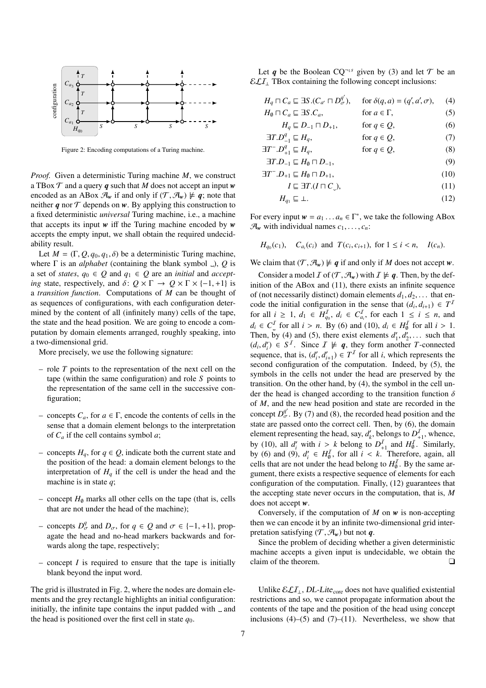

Figure 2: Encoding computations of a Turing machine.

*Proof.* Given a deterministic Turing machine *M*, we construct a TBox  $\mathcal T$  and a query  $q$  such that  $M$  does not accept an input  $w$ encoded as an ABox  $\mathcal{A}_{w}$  if and only if  $(\mathcal{T}, \mathcal{A}_{w}) \not\models q$ ; note that neither  $q$  nor  $T$  depends on  $w$ . By applying this construction to a fixed deterministic *universal* Turing machine, i.e., a machine that accepts its input *w* iff the Turing machine encoded by *w* accepts the empty input, we shall obtain the required undecidability result.

Let  $M = (\Gamma, Q, q_0, q_1, \delta)$  be a deterministic Turing machine, where  $\Gamma$  is an *alphabet* (containing the blank symbol  $\Box$ ), *Q* is a set of *states*,  $q_0 \in Q$  and  $q_1 \in Q$  are an *initial* and *accepting* state, respectively, and  $\delta$ :  $Q \times \Gamma \rightarrow Q \times \Gamma \times \{-1, +1\}$  is a *transition function*. Computations of *M* can be thought of as sequences of configurations, with each configuration determined by the content of all (infinitely many) cells of the tape, the state and the head position. We are going to encode a computation by domain elements arranged, roughly speaking, into a two-dimensional grid.

More precisely, we use the following signature:

- role *T* points to the representation of the next cell on the tape (within the same configuration) and role *S* points to the representation of the same cell in the successive configuration;
- concepts  $C_a$ , for  $a \in \Gamma$ , encode the contents of cells in the sense that a domain element belongs to the interpretation of *C<sup>a</sup>* if the cell contains symbol *a*;
- concepts *Hq*, for *q* ∈ *Q*, indicate both the current state and the position of the head: a domain element belongs to the interpretation of  $H_q$  if the cell is under the head and the machine is in state *q*;
- $-$  concept  $H_0$  marks all other cells on the tape (that is, cells that are not under the head of the machine);
- concepts  $D^q_\sigma$  and  $D_\sigma$ , for  $q \in Q$  and  $\sigma \in \{-1, +1\}$ , propagate the head and no-head markers backwards and forwards along the tape, respectively;
- concept *I* is required to ensure that the tape is initially blank beyond the input word.

The grid is illustrated in Fig. 2, where the nodes are domain elements and the grey rectangle highlights an initial configuration: initially, the infinite tape contains the input padded with  $\Box$  and the head is positioned over the first cell in state  $q_0$ .

Let *q* be the Boolean CQ<sup> $\neg$ 1</sup><sup>*s*</sup> given by (3) and let  $\mathcal T$  be an  $\mathcal{ELI}_\perp$  TBox containing the following concept inclusions:

$$
H_q \sqcap C_a \sqsubseteq \exists S.(C_{a'} \sqcap D_{\sigma}^{q'}), \quad \text{for } \delta(q, a) = (q', a', \sigma), \quad (4)
$$

$$
H_0 \sqcap C_a \sqsubseteq \exists S.C_a, \qquad \text{for } a \in \Gamma, \tag{5}
$$

$$
H_q \sqsubseteq D_{-1} \sqcap D_{+1}, \qquad \text{for } q \in Q,
$$
\n
$$
\exists T \ D^q = H \qquad \text{for } q \in Q
$$
\n
$$
\qquad (7)
$$

$$
\exists T.D_{-1}^{q} \sqsubseteq H_{q}, \qquad \text{for } q \in Q, \tag{7}
$$
\n
$$
T^{-} D_{q}^{q} \sqsubseteq H \qquad \text{for } q \in Q, \tag{8}
$$

$$
\exists T^- . D_{+1}^q \sqsubseteq H_q, \qquad \text{for } q \in Q,
$$
\n
$$
\exists T . D_{-1} \sqsubseteq H_0 \sqcap D_{-1}, \qquad (9)
$$

$$
\exists T^- . D_{+1} \sqsubseteq H_0 \sqcap D_{+1},\tag{10}
$$

$$
I \sqsubseteq \exists T.(I \sqcap C_{.}),\tag{11}
$$

$$
H_{q_1} \sqsubseteq \bot. \tag{12}
$$

For every input  $w = a_1 \dots a_n \in \Gamma^*$ , we take the following ABox  $\mathcal{A}_{w}$  with individual names  $c_1, \ldots, c_n$ :

$$
H_{q_0}(c_1)
$$
,  $C_{a_i}(c_i)$  and  $T(c_i, c_{i+1})$ , for  $1 \le i < n$ ,  $I(c_n)$ .

We claim that  $(\mathcal{T}, \mathcal{A}_w) \not\models q$  if and only if *M* does not accept *w*.

Consider a model *I* of  $(\mathcal{T}, \mathcal{A}_{w})$  with  $I \not\models q$ . Then, by the definition of the ABox and (11), there exists an infinite sequence of (not necessarily distinct) domain elements  $d_1, d_2, \ldots$  that encode the initial configuration in the sense that  $(d_i, d_{i+1}) \in T^I$ for all  $i \geq 1$ ,  $d_1 \in H_{q_0}^{\mathcal{I}}$ ,  $d_i \in C_{a_i}^{\mathcal{I}}$ , for each  $1 \leq i \leq n$ , and  $d_i \in C^{\mathcal{I}}$  for all  $i > n$ . By (6) and (10),  $d_i \in H^{\mathcal{I}}_{\emptyset}$  for all  $i > 1$ . Then, by (4) and (5), there exist elements  $d'_1, d'_2, \ldots$  such that  $(d_i, d'_i) \in S^{\mathcal{I}}$ . Since  $I \not\models q$ , they form another *T*-connected  $\mathbf{a}_i, a_i, \mathbf{b}_j \in \mathcal{S}$ . Since  $\mathcal{I} \not\models \mathbf{q}$ , they form another  $\mathcal{I}$ -connected<br>sequence, that is,  $(d'_i, d'_{i+1}) \in T^{\mathcal{I}}$  for all *i*, which represents the second configuration of the computation. Indeed, by (5), the symbols in the cells not under the head are preserved by the transition. On the other hand, by (4), the symbol in the cell under the head is changed according to the transition function  $\delta$ of *M*, and the new head position and state are recorded in the concept  $D_{\sigma}^{q'}$ . By (7) and (8), the recorded head position and the state are passed onto the correct cell. Then, by (6), the domain element representing the head, say,  $d'_{k}$ , belongs to  $D_{+1}^{I}$ , whence, by (10), all  $d'_i$  with  $i >_k k$  belong to  $D_{+1}^{\mathcal{I}}$  and  $H_0^{\mathcal{I}}$ . Similarly, by (6) and (9),  $d_i' \in H_0^I$ , for all  $i < k$ . Therefore, again, all cells that are not under the head belong to  $H_0^I$ . By the same argument, there exists a respective sequence of elements for each configuration of the computation. Finally, (12) guarantees that the accepting state never occurs in the computation, that is, *M* does not accept *w*.

Conversely, if the computation of *M* on *w* is non-accepting then we can encode it by an infinite two-dimensional grid interpretation satisfying  $(\mathcal{T}, \mathcal{A}_{w})$  but not  $q$ .

Since the problem of deciding whether a given deterministic machine accepts a given input is undecidable, we obtain the claim of the theorem. ❑

Unlike  $\mathcal{ELI}_1$ , DL-Lite<sub>core</sub> does not have qualified existential restrictions and so, we cannot propagate information about the contents of the tape and the position of the head using concept inclusions  $(4)$ – $(5)$  and  $(7)$ – $(11)$ . Nevertheless, we show that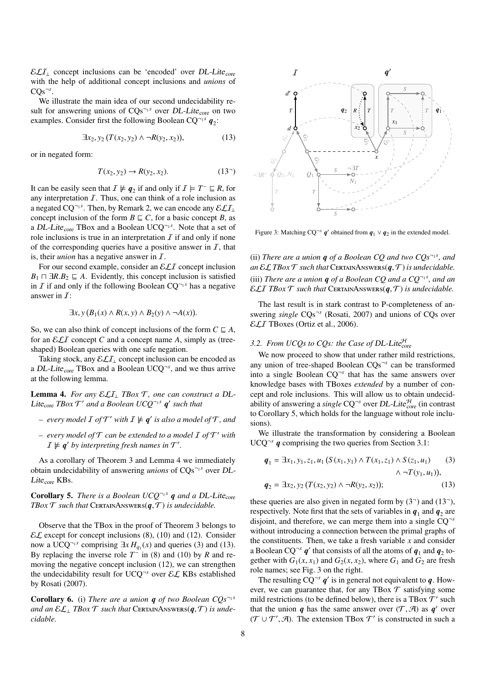$\mathcal{ELI}_\perp$  concept inclusions can be 'encoded' over DL-Lite<sub>core</sub> with the help of additional concept inclusions and *unions* of CQs<sup>¬</sup>*<sup>s</sup>* .

We illustrate the main idea of our second undecidability result for answering unions of  $CQs <sup>$-15$</sup>  over *DL-Lite<sub>core</sub>* on two$ examples. Consider first the following Boolean CQ<sup>-15</sup>  $q_2$ :

$$
\exists x_2, y_2 (T(x_2, y_2) \land \neg R(y_2, x_2)), \tag{13}
$$

or in negated form:

$$
T(x_2, y_2) \to R(y_2, x_2). \tag{13}
$$

It can be easily seen that  $I \not\models q_2$  if and only if  $I \models T^- \sqsubseteq R$ , for any interpretation  $I$ . Thus, one can think of a role inclusion as a negated CQ<sup>¬15</sup>. Then, by Remark 2, we can encode any  $\mathcal{ELI}_\perp$ concept inclusion of the form  $B \sqsubseteq C$ , for a basic concept *B*, as a DL-Lite<sub>core</sub> TBox and a Boolean UCQ<sup>-15</sup>. Note that a set of role inclusions is true in an interpretation  $I$  if and only if none of the corresponding queries have a positive answer in  $I$ , that is, their *union* has a negative answer in  $\overline{I}$ .

For our second example, consider an  $\mathcal{ELI}$  concept inclusion *B*<sub>1</sub>  $\Box$  *BR.B*<sub>2</sub> ⊆ *A*. Evidently, this concept inclusion is satisfied in  $\overline{I}$  if and only if the following Boolean CQ<sup> $\neg$ 1</sup> has a negative answer in  $\overline{I}$ :

$$
\exists x, y (B_1(x) \land R(x, y) \land B_2(y) \land \neg A(x)).
$$

So, we can also think of concept inclusions of the form  $C \subseteq A$ , for an  $\mathcal{ELI}$  concept *C* and a concept name *A*, simply as (treeshaped) Boolean queries with one safe negation.

Taking stock, any  $\mathcal{ELI}_\perp$  concept inclusion can be encoded as a DL-Lite<sub>core</sub> TBox and a Boolean  $UCQ^{-s}$ , and we thus arrive at the following lemma.

Lemma 4. *For any* ELI<sup>⊥</sup> *TBox* T*, one can construct a* DL-Lite<sub>core</sub> TBox  $\mathcal{T}'$  and a Boolean UCQ<sup> $\neg$ 1</sup><sup>s</sup>  $q'$  such that

- $-$  every model  $I$  of  $T'$  with  $I \not\models q'$  is also a model of  $T$ , and
- *every model of* T *can be extended to a model* I *of* T ′ *with*  $I \not\models q'$  by interpreting fresh names in  $\mathcal{T}'$ .

As a corollary of Theorem 3 and Lemma 4 we immediately obtain undecidability of answering *unions* of COs<sup> $\neg$ 1<sup>*s*</sup> over DL-</sup> Lite $_{core}$  KBs.

Corollary 5. *There is a Boolean UCQ*<sup>-15</sup> *q and a DL-Lite<sub>core</sub> TBox*  $\mathcal T$  *such that* CERTAINANSWERS $(q, \mathcal T)$  *is undecidable.* 

Observe that the TBox in the proof of Theorem 3 belongs to  $\mathcal{EL}$  except for concept inclusions (8), (10) and (12). Consider now a UCQ<sup> $\neg$ 1</sub>*s* comprising  $\exists x H_{q_1}(x)$  and queries (3) and (13).</sup> By replacing the inverse role  $T^-$  in (8) and (10) by *R* and removing the negative concept inclusion (12), we can strengthen the undecidability result for UCQ<sup> $\neg$ s</sup> over  $\mathcal{EL}$  KBs established by Rosati (2007).

**Corollary 6.** (i) *There are a union*  $q$  *of two Boolean CQs*<sup> $\ni$ 1</sub>*s*</sup> and an  $\mathcal{EL}_\perp$  *TBox*  $\mathcal T$  *such that* CERTAINANSWERS( $q, \mathcal T$ ) *is undecidable.*



Figure 3: Matching  $CQ^{-s}$  *q'* obtained from  $q_1 \vee q_2$  in the extended model.

(ii) *There are a union*  $q$  *of a Boolean CQ and two CQs*<sup> $\ni$ </sup><sup>s</sup>, *and*  $an \mathcal{EL} TBox \mathcal{T} such that \text{CERTAINANSWERS}(\boldsymbol{q}, \mathcal{T}) is undecidable.$ (iii) *There are a union*  $q$  *of a Boolean CQ and a CQ*<sup> $\neg$ 15</sup>*, and an*  $\mathcal{ELI}$  *TBox*  $\mathcal T$  *such that* CERTAINANSWERS( $q, \mathcal T$ ) *is undecidable.* 

The last result is in stark contrast to P-completeness of answering *single* CQs<sup>-s</sup> (Rosati, 2007) and unions of CQs over ELI TBoxes (Ortiz et al., 2006).

## 3.2. From UCQs to CQs: the Case of DL-Lite $_{\rm core}^{\mathcal{H}}$

We now proceed to show that under rather mild restrictions, any union of tree-shaped Boolean CQs<sup>-s</sup> can be transformed into a single Boolean CQ<sup>-s</sup> that has the same answers over knowledge bases with TBoxes *extended* by a number of concept and role inclusions. This will allow us to obtain undecidability of answering a *single*  $CQ^{-s}$  over *DL-Lite*<sup> $H$ </sup> (in contrast to Corollary 5, which holds for the language without role inclusions).

We illustrate the transformation by considering a Boolean UCQ<sup>-s</sup> **q** comprising the two queries from Section 3.1:

$$
\mathbf{q}_1 = \exists x_1, y_1, z_1, u_1 (S(x_1, y_1) \wedge T(x_1, z_1) \wedge S(z_1, u_1))
$$
\n
$$
\wedge \neg T(y_1, u_1)),
$$
\n(3)

$$
\boldsymbol{q}_2 = \exists x_2, y_2 \left( T(x_2, y_2) \wedge \neg R(y_2, x_2) \right); \tag{13}
$$

these queries are also given in negated form by  $(3^-)$  and  $(13^-)$ , respectively. Note first that the sets of variables in  $q_1$  and  $q_2$  are disjoint, and therefore, we can merge them into a single CQ<sup>¬</sup>*<sup>s</sup>* without introducing a connection between the primal graphs of the constituents. Then, we take a fresh variable  $x$  and consider a Boolean CQ<sup> $\sim$ s</sup>  $q'$  that consists of all the atoms of  $q_1$  and  $q_2$  together with  $G_1(x, x_1)$  and  $G_2(x, x_2)$ , where  $G_1$  and  $G_2$  are fresh role names; see Fig. 3 on the right.

The resulting  $CQ^{-s} q'$  is in general not equivalent to q. However, we can guarantee that, for any TBox  $\mathcal T$  satisfying some mild restrictions (to be defined below), there is a TBox  $\mathcal{T}'$  such that the union *q* has the same answer over  $(\mathcal{T}, \mathcal{A})$  as *q'* over  $(T \cup T', \mathcal{A})$ . The extension TBox  $T'$  is constructed in such a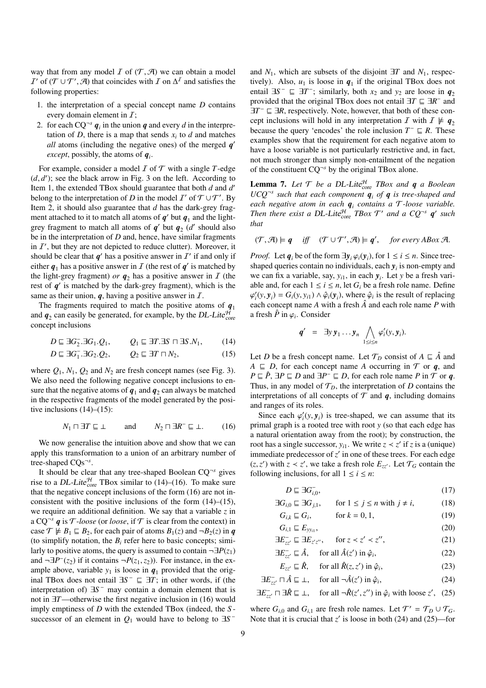way that from any model  $I$  of  $(T, \mathcal{A})$  we can obtain a model *I'* of  $(T \cup T', \mathcal{A})$  that coincides with *I* on  $\Delta^I$  and satisfies the following properties:

- 1. the interpretation of a special concept name *D* contains every domain element in  $I$ ;
- 2. for each  $CQ^{-s}$   $q_i$  in the union  $q$  and every  $d$  in the interpretation of *D*, there is a map that sends  $x_i$  to  $d$  and matches *all* atoms (including the negative ones) of the merged *q* ′ *except*, possibly, the atoms of *q<sup>i</sup>* .

For example, consider a model  $I$  of  $T$  with a single  $T$ -edge  $(d, d')$ ; see the black arrow in Fig. 3 on the left. According to Item 1, the extended TBox should guarantee that both *d* and *d* ′ belong to the interpretation of *D* in the model  $I'$  of  $T \cup T'$ . By Item 2, it should also guarantee that *d* has the dark-grey fragment attached to it to match all atoms of  $q'$  but  $q_1$  and the lightgrey fragment to match all atoms of  $q'$  but  $q_2$  ( $d'$  should also be in the interpretation of *D* and, hence, have similar fragments in  $I'$ , but they are not depicted to reduce clutter). Moreover, it should be clear that  $q'$  has a positive answer in  $I'$  if and only if either  $q_1$  has a positive answer in  $I$  (the rest of  $q'$  is matched by the light-grey fragment) *or*  $q_2$  has a positive answer in  $I$  (the rest of *q* ′ is matched by the dark-grey fragment), which is the same as their union,  $q$ , having a positive answer in  $I$ .

The fragments required to match the positive atoms of  $q_1$ and  $q_2$  can easily be generated, for example, by the DL-Lite<sup>H</sup><sub>core</sub> concept inclusions

$$
D \sqsubseteq \exists G_2^-. \exists G_1. Q_1, \qquad Q_1 \sqsubseteq \exists T. \exists S \sqcap \exists S. N_1,\qquad(14)
$$

$$
D \sqsubseteq \exists G_1^-. \exists G_2. Q_2, \qquad Q_2 \sqsubseteq \exists T \sqcap N_2,\tag{15}
$$

where  $Q_1$ ,  $N_1$ ,  $Q_2$  and  $N_2$  are fresh concept names (see Fig. 3). We also need the following negative concept inclusions to ensure that the negative atoms of  $q_1$  and  $q_2$  can always be matched in the respective fragments of the model generated by the positive inclusions  $(14)$ – $(15)$ :

$$
N_1 \sqcap \exists T \sqsubseteq \bot \qquad \text{and} \qquad N_2 \sqcap \exists R^- \sqsubseteq \bot. \qquad (16)
$$

We now generalise the intuition above and show that we can apply this transformation to a union of an arbitrary number of tree-shaped CQs<sup>¬</sup>*<sup>s</sup>* .

It should be clear that any tree-shaped Boolean CQ<sup>¬</sup>*<sup>s</sup>* gives rise to a DL-Lite $_{core}^{H}$  TBox similar to (14)–(16). To make sure that the negative concept inclusions of the form (16) are not inconsistent with the positive inclusions of the form  $(14)$ – $(15)$ , we require an additional definition. We say that a variable *z* in a CQ<sup>-*s*</sup> **q** is T-loose (or loose, if T is clear from the context) in case  $\mathcal{T} \not\models B_1 \sqsubseteq B_2$ , for each pair of atoms  $B_1(z)$  and  $\neg B_2(z)$  in *q* (to simplify notation, the  $B_i$  refer here to basic concepts; similarly to positive atoms, the query is assumed to contain  $\neg \exists P(z_1)$ and  $\neg \exists P^-(z_2)$  if it contains  $\neg P(z_1, z_2)$ ). For instance, in the example above, variable  $y_1$  is loose in  $q_1$  provided that the original TBox does not entail ∃*S* <sup>−</sup> ⊑ ∃*T*; in other words, if (the interpretation of) ∃*S* <sup>−</sup> may contain a domain element that is not in ∃*T*—otherwise the first negative inclusion in (16) would imply emptiness of *D* with the extended TBox (indeed, the *S* successor of an element in  $Q_1$  would have to belong to  $\exists S^-$ 

and  $N_1$ , which are subsets of the disjoint  $\exists T$  and  $N_1$ , respectively). Also,  $u_1$  is loose in  $q_1$  if the original TBox does not entail  $\exists S^- \sqsubseteq \exists T^-$ ; similarly, both  $x_2$  and  $y_2$  are loose in  $q_2$ provided that the original TBox does not entail  $\exists T \sqsubseteq \exists R^-$  and ∃*T* <sup>−</sup> ⊑ ∃*R*, respectively. Note, however, that both of these concept inclusions will hold in any interpretation  $\mathcal{I}$  with  $\mathcal{I} \not\models q_2$ because the query 'encodes' the role inclusion  $T^- \sqsubseteq R$ . These examples show that the requirement for each negative atom to have a loose variable is not particularly restrictive and, in fact, not much stronger than simply non-entailment of the negation of the constituent  $CQ^{-s}$  by the original TBox alone.

**Lemma 7.** Let  $T$  be a DL-Lite $_{core}^{\mathcal{H}}$  *TBox and*  $q$  *a Boolean*  $UCQ^{-s}$  such that each component  $q_i$  of  $q$  is tree-shaped and *each negative atom in each q<sup>i</sup> contains a* T*-loose variable. Then there exist a DL-Lite* $_{\text{core}}^{\mathcal{H}}$  *TBox*  $\mathcal{T}'$  *and a CQ*<sup>-*s*</sup>  $q'$  *such that* 

$$
(\mathcal{T}, \mathcal{A}) \models q \quad \text{iff} \quad (\mathcal{T} \cup \mathcal{T}', \mathcal{A}) \models q', \quad \text{for every } AB \text{ or } \mathcal{A}.
$$

*Proof.* Let  $q_i$  be of the form  $\exists y_i \varphi_i(y_i)$ , for  $1 \le i \le n$ . Since treeshaped queries contain no individuals, each  $y_i$  is non-empty and we can fix a variable, say, *y<sup>i</sup>*1, in each *y<sup>i</sup>* . Let *y* be a fresh variable and, for each  $1 \le i \le n$ , let  $G_i$  be a fresh role name. Define  $\varphi'_i(y, y_i) = G_i(y, y_{i1}) \wedge \hat{\varphi}_i(y_i)$ , where  $\hat{\varphi}_i$  is the result of replacing each concept name *A* with a fresh  $\hat{A}$  and each role name *P* with a fresh  $\hat{P}$  in  $\varphi_i$ . Consider

$$
\boldsymbol{q}' = \exists y \, \boldsymbol{y}_1 \ldots \boldsymbol{y}_n \bigwedge_{1 \leq i \leq n} \varphi_i'(y, \boldsymbol{y}_i).
$$

Let *D* be a fresh concept name. Let  $\mathcal{T}_D$  consist of  $A \subseteq \hat{A}$  and  $A \subseteq D$ , for each concept name *A* occurring in  $\mathcal T$  or *q*, and  $P \sqsubseteq \hat{P}$ ,  $\exists P \sqsubseteq D$  and  $\exists P^- \sqsubseteq D$ , for each role name *P* in  $\mathcal T$  or *q*. Thus, in any model of  $T_D$ , the interpretation of *D* contains the interpretations of all concepts of  $T$  and  $q$ , including domains and ranges of its roles.

Since each  $\varphi'_i(y, y_i)$  is tree-shaped, we can assume that its primal graph is a rooted tree with root *y* (so that each edge has a natural orientation away from the root); by construction, the root has a single successor,  $y_{i1}$ . We write  $z \leq z'$  if z is a (unique) immediate predecessor of  $z'$  in one of these trees. For each edge  $(z, z')$  with  $z \leq z'$ , we take a fresh role  $E_{zz'}$ . Let  $\mathcal{T}_G$  contain the following inclusions, for all  $1 \le i \le n$ :

$$
D \sqsubseteq \exists G_{i,0}^{-},\tag{17}
$$

$$
\exists G_{i,0} \sqsubseteq \exists G_{j,1}, \qquad \text{for } 1 \le j \le n \text{ with } j \ne i,
$$
 (18)

$$
G_{i,k} \sqsubseteq G_i, \qquad \text{for } k = 0, 1,
$$
 (19)

$$
G_{i,1} \sqsubseteq E_{yy_{i1}},\tag{20}
$$
\n
$$
E^- = \square E \qquad \text{for } \tau < \tau' < \tau'' \tag{21}
$$

$$
\exists E_{zz'}^- \sqsubseteq \exists E_{z'z''}, \quad \text{for } z < z' < z'', \tag{21}
$$

$$
\exists E_{zz'}^- \sqsubseteq \hat{A}, \quad \text{for all } \hat{A}(z') \text{ in } \hat{\varphi}_i,
$$
 (22)

$$
E_{zz'} \sqsubseteq \hat{R}, \quad \text{for all } \hat{R}(z, z') \text{ in } \hat{\varphi}_i,
$$
 (23)

$$
\exists E_{zz'}^- \sqcap \hat{A} \sqsubseteq \bot, \quad \text{for all } \neg \hat{A}(z') \text{ in } \hat{\varphi}_i,
$$
 (24)

$$
\exists E_{zz'}^- \sqcap \exists \hat{R} \sqsubseteq \bot, \quad \text{for all } \neg \hat{R}(z', z'') \text{ in } \hat{\varphi}_i \text{ with loose } z', \tag{25}
$$

where  $G_{i,0}$  and  $G_{i,1}$  are fresh role names. Let  $T' = T_D \cup T_G$ . Note that it is crucial that  $z'$  is loose in both (24) and (25)—for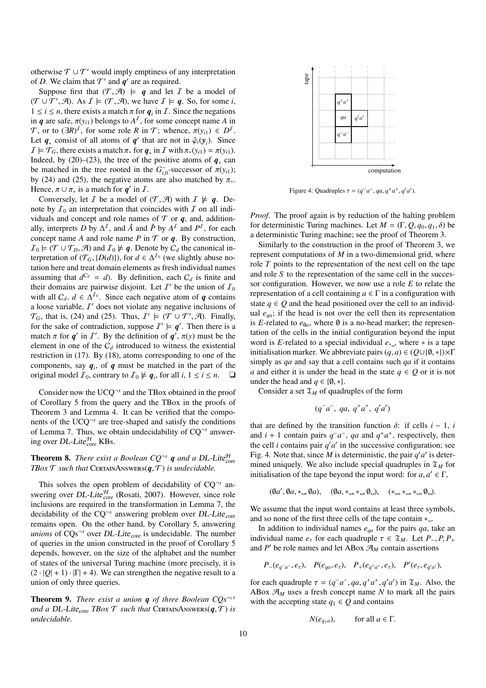otherwise  $T \cup T'$  would imply emptiness of any interpretation of *D*. We claim that  $T'$  and  $q'$  are as required.

Suppose first that  $(\mathcal{T}, \mathcal{A}) \models q$  and let *I* be a model of  $(T \cup T', \mathcal{A})$ . As  $I \models (T, \mathcal{A})$ , we have  $I \models q$ . So, for some *i*,  $1 \le i \le n$ , there exists a match  $\pi$  for  $q_i$  in  $I$ . Since the negations in *q* are safe,  $\pi(y_i)$  belongs to  $A^I$ , for some concept name *A* in T, or to  $(\exists R)^I$ , for some role R in T; whence,  $\pi(y_{i1}) \in D^I$ . Let  $q_*$  consist of all atoms of  $q'$  that are not in  $\hat{\varphi}_i(y_i)$ . Since  $I \models \mathcal{T}_G$ , there exists a match  $\pi_*$  for  $\mathbf{q}_*$  in  $I$  with  $\pi_*(y_{i1}) = \pi(y_{i1})$ . Indeed, by (20)–(23), the tree of the positive atoms of  $q_*$  can be matched in the tree rooted in the  $G_{i,0}^-$ -successor of  $\pi(y_i)$ ; by (24) and (25), the negative atoms are also matched by  $\pi_*$ . Hence,  $\pi \cup \pi_*$  is a match for  $q'$  in *I*.

Conversely, let *I* be a model of  $(\mathcal{T}, \mathcal{A})$  with  $I \not\models q$ . Denote by  $I_0$  an interpretation that coincides with I on all individuals and concept and role names of  $\mathcal T$  or  $q$ , and, additionally, interprets *D* by  $\Delta^I$ , and  $\hat{A}$  and  $\hat{P}$  by  $A^I$  and  $P^I$ , for each concept name *A* and role name *P* in  $T$  or  $q$ . By construction,  $I_0 \models (\mathcal{T} \cup \mathcal{T}_D, \mathcal{A})$  and  $I_0 \not\models q$ . Denote by  $C_d$  the canonical interpretation of  $(\mathcal{T}_G, \{D(d)\})$ , for  $d \in \Delta^{\mathcal{I}_0}$  (we slightly abuse notation here and treat domain elements as fresh individual names assuming that  $d^{C_d} = d$ ). By definition, each  $C_d$  is finite and their domains are pairwise disjoint. Let  $I'$  be the union of  $I_0$ with all  $C_d$ ,  $d \in \Delta^{I_0}$ . Since each negative atom of *q* contains a loose variable,  $I'$  does not violate any negative inclusions of  $\mathcal{T}_G$ , that is, (24) and (25). Thus,  $I' \models (\mathcal{T} \cup \mathcal{T}', \mathcal{A})$ . Finally, for the sake of contradiction, suppose  $I' \models q'$ . Then there is a match  $\pi$  for  $q'$  in  $I'$ . By the definition of  $q'$ ,  $\pi(y)$  must be the element in one of the  $C_d$  introduced to witness the existential restriction in (17). By (18), atoms corresponding to one of the components, say  $q_i$ , of  $q$  must be matched in the part of the original model  $\mathcal{I}_0$ , contrary to  $\mathcal{I}_0 \not\models q_i$ , for all  $i, 1 \le i \le n$ .  $\Box$ 

Consider now the UCQ<sup>¬</sup>*<sup>s</sup>* and the TBox obtained in the proof of Corollary 5 from the query and the TBox in the proofs of Theorem 3 and Lemma 4. It can be verified that the components of the UCQ<sup>¬</sup>*<sup>s</sup>* are tree-shaped and satisfy the conditions of Lemma 7. Thus, we obtain undecidability of CQ<sup>¬</sup>*<sup>s</sup>* answering over *DL*-Lite $_{core}^{\mathcal{H}}$  KBs.

## **Theorem 8.** *There exist a Boolean CQ*<sup> $\neg$ </sup><sup>*s*</sup> *q and a DL-Lite* $_{\text{core}}^{\mathcal{H}}$ *TBox*  $\mathcal T$  *such that* CERTAINANSWERS $(q, \mathcal T)$  *is undecidable.*

This solves the open problem of decidability of CQ<sup>-s</sup> answering over *DL-Lite* $_{core}^{H}$  (Rosati, 2007). However, since role inclusions are required in the transformation in Lemma 7, the decidability of the CQ<sup>-s</sup> answering problem over *DL-Lite<sub>core</sub>* remains open. On the other hand, by Corollary 5, answering *unions* of  $\text{COs}^{-s}$  over DL-Lite<sub>core</sub> is undecidable. The number of queries in the union constructed in the proof of Corollary 5 depends, however, on the size of the alphabet and the number of states of the universal Turing machine (more precisely, it is  $(2 \cdot |Q| + 1) \cdot |\Gamma| + 4$ ). We can strengthen the negative result to a union of only three queries.

**Theorem 9.** *There exist a union*  $q$  *of three Boolean CQs*<sup> $\neg$ 15</sup> *and a DL-Lite<sub>core</sub> <i>TBox*  $\mathcal T$  *such that* CERTAINANSWERS $(q, \mathcal T)$  *is undecidable.*



Figure 4: Quadruples  $\tau = (q^-a^-, qa, q^+a^+, q'a')$ .

*Proof.* The proof again is by reduction of the halting problem for deterministic Turing machines. Let  $M = (\Gamma, Q, q_0, q_1, \delta)$  be a deterministic Turing machine; see the proof of Theorem 3.

Similarly to the construction in the proof of Theorem 3, we represent computations of *M* in a two-dimensional grid, where role *T* points to the representation of the next cell on the tape and role *S* to the representation of the same cell in the successor configuration. However, we now use a role *E* to relate the representation of a cell containing  $a \in \Gamma$  in a configuration with state  $q \in Q$  and the head positioned over the cell to an individual  $e_{qa}$ ; if the head is not over the cell then its representation is *E*-related to  $e_{0a}$ , where  $\emptyset$  is a no-head marker; the representation of the cells in the initial configuration beyond the input word is *E*-related to a special individual  $e_{\ast}$ , where ∗ is a tape initialisation marker. We abbreviate pairs  $(q, a) \in (Q \cup \{\emptyset, *\}) \times \Gamma$ simply as *qa* and say that a cell contains such *qa* if it contains *a* and either it is under the head in the state  $q \in Q$  or it is not under the head and  $q \in \{0, *\}.$ 

Consider a set  $\mathfrak{T}_M$  of quadruples of the form

$$
(q^-a^-, qa, q^+a^+, q'a')
$$

that are defined by the transition function  $\delta$ : if cells  $i - 1$ , *i* and  $i + 1$  contain pairs  $q^a \bar{a}$ ,  $qa$  and  $q^a \bar{a}$ , respectively, then the cell *i* contains pair  $q' a'$  in the successive configuration; see Fig. 4. Note that, since *M* is deterministic, the pair  $q' a'$  is determined uniquely. We also include special quadruples in  $\mathfrak{T}_M$  for initialisation of the tape beyond the input word: for  $a, a' \in \Gamma$ ,

$$
(\emptyset a', \emptyset a, \ast_{\neg}, \emptyset a), \quad (\emptyset a, \ast_{\neg}, \ast_{\neg}, \emptyset_{\neg}), \quad (\ast_{\neg}, \ast_{\neg}, \ast_{\neg}, \emptyset_{\neg}).
$$

We assume that the input word contains at least three symbols, and so none of the first three cells of the tape contain ∗...

In addition to individual names  $e_{qa}$  for the pairs  $qa$ , take an individual name  $e_{\tau}$  for each quadruple  $\tau \in \mathfrak{T}_M$ . Let  $P_-, P, P_+$ and  $P'$  be role names and let ABox  $\mathcal{A}_M$  contain assertions

$$
P_{-}(e_{q^{-}a^{-}},e_{\tau}), \quad P(e_{qa},e_{\tau}), \quad P_{+}(e_{q^{+}a^{+}},e_{\tau}), \quad P'(e_{\tau},e_{q'a'}),
$$

for each quadruple  $\tau = (q^-a^-, qa, q^+a^+, q'a')$  in  $\mathfrak{T}_M$ . Also, the ABox  $\mathcal{A}_M$  uses a fresh concept name *N* to mark all the pairs with the accepting state  $q_1 \in Q$  and contains

$$
N(e_{q_1a}), \qquad \text{for all } a \in \Gamma.
$$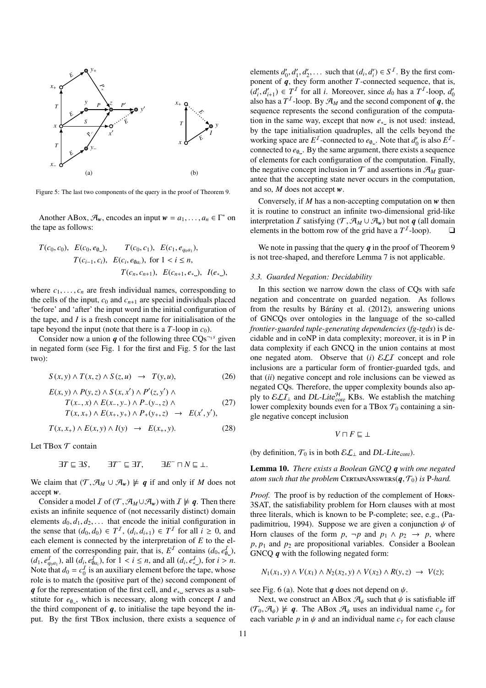

Figure 5: The last two components of the query in the proof of Theorem 9.

Another ABox,  $\mathcal{A}_w$ , encodes an input  $w = a_1, \dots, a_n \in \Gamma^*$  on the tape as follows:

$$
T(c_0, c_0), E(c_0, e_{\emptyset_{-}}), T(c_0, c_1), E(c_1, e_{q_0 a_1}),
$$
  
\n
$$
T(c_{i-1}, c_i), E(c_i, e_{\emptyset a_i}), \text{ for } 1 < i \le n,
$$
  
\n
$$
T(c_n, c_{n+1}), E(c_{n+1}, e_{\infty}), I(e_{\infty}),
$$

where  $c_1, \ldots, c_n$  are fresh individual names, corresponding to the cells of the input,  $c_0$  and  $c_{n+1}$  are special individuals placed 'before' and 'after' the input word in the initial configuration of the tape, and *I* is a fresh concept name for initialisation of the tape beyond the input (note that there is a  $T$ -loop in  $c_0$ ).

Consider now a union  $q$  of the following three  $CQs^{\eta s}$  given in negated form (see Fig. 1 for the first and Fig. 5 for the last two):

$$
S(x, y) \wedge T(x, z) \wedge S(z, u) \rightarrow T(y, u), \tag{26}
$$

$$
E(x, y) \wedge P(y, z) \wedge S(x, x') \wedge P'(z, y') \wedge T(x_-, x) \wedge E(x_-, y_-) \wedge P_-(y_-, z) \wedge T(x, x_+) \wedge E(x_+, y_+) \wedge P_+(y_+, z) \rightarrow E(x', y'),
$$
(27)

$$
T(x, x_+) \wedge E(x, y) \wedge I(y) \rightarrow E(x_+, y). \tag{28}
$$

Let TBox  $T$  contain

$$
\exists T \sqsubseteq \exists S, \qquad \exists T^- \sqsubseteq \exists T, \qquad \exists E^- \sqcap N \sqsubseteq \bot.
$$

We claim that  $(\mathcal{T}, \mathcal{A}_M \cup \mathcal{A}_w) \not\models q$  if and only if *M* does not accept *w*.

Consider a model *I* of  $(\mathcal{T}, \mathcal{A}_M \cup \mathcal{A}_w)$  with  $I \not\models q$ . Then there exists an infinite sequence of (not necessarily distinct) domain elements  $d_0, d_1, d_2, \ldots$  that encode the initial configuration in the sense that  $(d_0, d_0) \in T^I$ ,  $(d_i, d_{i+1}) \in T^I$  for all  $i \ge 0$ , and each element is connected by the interpretation of *E* to the element of the corresponding pair, that is,  $E^I$  contains  $(d_0, e_0^I)$ ,  $(d_1, e_{q_0a_1}^I)$ , all  $(d_i, e_{q_0i}^I)$ , for  $1 < i \le n$ , and all  $(d_i, e_{*}^I)$ , for  $i > n$ . Note that  $d_0 = c_0^T$  is an auxiliary element before the tape, whose role is to match the (positive part of the) second component of *q* for the representation of the first cell, and  $e_{*}$  serves as a substitute for  $e_{\emptyset}$ , which is necessary, along with concept *I* and the third component of  $q$ , to initialise the tape beyond the input. By the first TBox inclusion, there exists a sequence of

elements  $d'_0, d'_1, d'_2, \ldots$  such that  $(d_i, d'_i) \in S^{\mathcal{I}}$ . By the first component of *q*, they form another *T*-connected sequence, that is,  $(d'_i, d'_{i+1}) \in T^{\mathcal{I}}$  for all *i*. Moreover, since  $d_0$  has a  $T^{\mathcal{I}}$ -loop,  $d'_0$ also has a  $T^{\mathcal{I}}$ -loop. By  $\mathcal{A}_M$  and the second component of  $q$ , the sequence represents the second configuration of the computation in the same way, except that now  $e_{*}$  is not used: instead, by the tape initialisation quadruples, all the cells beyond the working space are  $E^I$ -connected to  $e_{\theta}$ . Note that  $d'_0$  is also  $E^I$ connected to  $e_{\emptyset}$ . By the same argument, there exists a sequence of elements for each configuration of the computation. Finally, the negative concept inclusion in  $\mathcal T$  and assertions in  $\mathcal A_M$  guarantee that the accepting state never occurs in the computation, and so, *M* does not accept *w*.

Conversely, if *M* has a non-accepting computation on *w* then it is routine to construct an infinite two-dimensional grid-like interpretation *I* satisfying ( $T$ ,  $\mathcal{A}_M \cup \mathcal{A}_w$ ) but not *q* (all domain elements in the bottom row of the grid have a  $T<sup>T</sup>$ -loop).  $\Box$ 

We note in passing that the query *q* in the proof of Theorem 9 is not tree-shaped, and therefore Lemma 7 is not applicable.

#### *3.3. Guarded Negation: Decidability*

In this section we narrow down the class of CQs with safe negation and concentrate on guarded negation. As follows from the results by Bárány et al.  $(2012)$ , answering unions of GNCQs over ontologies in the language of the so-called *frontier-guarded tuple-generating dependencies* (*fg-tgds*) is decidable and in coNP in data complexity; moreover, it is in P in data complexity if each GNCQ in the union contains at most one negated atom. Observe that (*i*) ELI concept and role inclusions are a particular form of frontier-guarded tgds, and that (*ii*) negative concept and role inclusions can be viewed as negated CQs. Therefore, the upper complexity bounds also apply to  $\mathcal{ELI}_{\perp}$  and DL-Lite $_{core}^{\mathcal{H}}$  KBs. We establish the matching lower complexity bounds even for a TBox  $\mathcal{T}_0$  containing a single negative concept inclusion

$$
V\sqcap F\sqsubseteq\bot
$$

(by definition,  $\mathcal{T}_0$  is in both  $\mathcal{EL}_\perp$  and DL-Lite<sub>core</sub>).

Lemma 10. *There exists a Boolean GNCQ q with one negated atom such that the problem* CERTAINANSWERS $(q, \mathcal{T}_0)$  *is* P-*hard.* 

*Proof.* The proof is by reduction of the complement of Horn-3SAT, the satisfiability problem for Horn clauses with at most three literals, which is known to be P-complete; see, e.g., (Papadimitriou, 1994). Suppose we are given a conjunction  $\psi$  of Horn clauses of the form  $p$ ,  $\neg p$  and  $p_1 \land p_2 \rightarrow p$ , where  $p, p_1$  and  $p_2$  are propositional variables. Consider a Boolean GNCQ *q* with the following negated form:

$$
N_1(x_1, y) \wedge V(x_1) \wedge N_2(x_2, y) \wedge V(x_2) \wedge R(y, z) \rightarrow V(z);
$$

see Fig. 6 (a). Note that *q* does not depend on  $\psi$ .

Next, we construct an ABox  $\mathcal{A}_{\psi}$  such that  $\psi$  is satisfiable iff  $({\cal T}_0, {\cal A}_{\psi}) \not\models q$ . The ABox  ${\cal A}_{\psi}$  uses an individual name  $c_p$  for each variable *p* in  $\psi$  and an individual name  $c_{\gamma}$  for each clause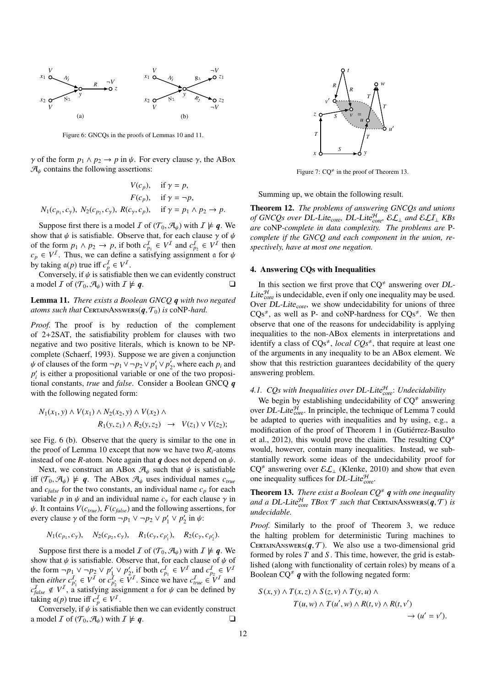

Figure 6: GNCQs in the proofs of Lemmas 10 and 11.

*γ* of the form  $p_1$  ∧  $p_2$  →  $p$  in  $ψ$ . For every clause  $γ$ , the ABox  $\mathcal{A}_{\psi}$  contains the following assertions:

$$
V(c_p), \quad \text{if } \gamma = p,
$$

$$
F(c_p), \quad \text{if } \gamma = \neg p,
$$

$$
N_1(c_{p_1}, c_{\gamma}), N_2(c_{p_2}, c_{\gamma}), R(c_{\gamma}, c_p), \quad \text{if } \gamma = p_1 \land p_2 \to p.
$$

Suppose first there is a model *I* of  $(\mathcal{T}_0, \mathcal{A}_{\psi})$  with  $I \not\models q$ . We show that  $\psi$  is satisfiable. Observe that, for each clause  $\gamma$  of  $\psi$ of the form  $p_1 \wedge p_2 \rightarrow p$ , if both  $c_{p_1}^{\mathcal{I}} \in V^{\mathcal{I}}$  and  $c_{p_2}^{\mathcal{I}} \in V^{\mathcal{I}}$  then  $c_p \in V^{\mathcal{I}}$ . Thus, we can define a satisfying assignment a for  $\psi$ by taking  $a(p)$  true iff  $c_p^{\mathcal{I}} \in V^{\mathcal{I}}$ .

Conversely, if  $\psi$  is satisfiable then we can evidently construct a model *I* of  $(\mathcal{T}_0, \mathcal{A}_{\psi})$  with  $I \not\models q$ .

## Lemma 11. *There exists a Boolean GNCQ q with two negated atoms such that* CERTAINANSWERS $(q, \mathcal{T}_0)$  *is* coNP-*hard.*

*Proof.* The proof is by reduction of the complement of 2+2SAT, the satisfiability problem for clauses with two negative and two positive literals, which is known to be NPcomplete (Schaerf, 1993). Suppose we are given a conjunction  $\psi$  of clauses of the form  $\neg p_1 \lor \neg p_2 \lor p'_1 \lor p'_2$ , where each  $p_i$  and  $p'_i$  is either a propositional variable or one of the two propositional constants, *true* and *false*. Consider a Boolean GNCQ *q* with the following negated form:

$$
N_1(x_1, y) \wedge V(x_1) \wedge N_2(x_2, y) \wedge V(x_2) \wedge
$$
  
 
$$
R_1(y, z_1) \wedge R_2(y, z_2) \rightarrow V(z_1) \vee V(z_2);
$$

see Fig. 6 (b). Observe that the query is similar to the one in the proof of Lemma 10 except that now we have two  $R_i$ -atoms instead of one *R*-atom. Note again that  $q$  does not depend on  $\psi$ .

Next, we construct an ABox  $\mathcal{A}_{\psi}$  such that  $\psi$  is satisfiable iff  $(\mathcal{T}_0, \mathcal{A}_{\psi}) \not\models q$ . The ABox  $\mathcal{A}_{\psi}$  uses individual names  $c_{true}$ and  $c_{\text{false}}$  for the two constants, an individual name  $c_p$  for each variable *p* in  $\psi$  and an individual name  $c_{\gamma}$  for each clause  $\gamma$  in  $\psi$ . It contains  $V(c_{true}), F(c_{false})$  and the following assertions, for every clause  $\gamma$  of the form  $\neg p_1 \lor \neg p_2 \lor p'_1 \lor p'_2$  in  $\psi$ :

$$
N_1(c_{p_1}, c_\gamma), \quad N_2(c_{p_2}, c_\gamma), \quad R_1(c_\gamma, c_{p'_1}), \quad R_2(c_\gamma, c_{p'_2}).
$$

Suppose first there is a model *I* of  $(\mathcal{T}_0, \mathcal{A}_{\psi})$  with  $I \not\models q$ . We show that  $\psi$  is satisfiable. Observe that, for each clause of  $\psi$  of the form  $\neg p_1 \lor \neg p_2 \lor p'_1 \lor p'_2$ , if both  $c_{p_1}^{\mathcal{I}} \in V^{\mathcal{I}}$  and  $c_{p_2}^{\mathcal{I}} \in V^{\mathcal{I}}$ then *either*  $c_{p_1'}^T \in V^I$  or  $c_{p_2'}^T \in V^I$ . Since we have  $c_{true}^T \in V^I$  and  $c_{\text{false}}^I \notin V^I$ , a satisfying assignment a for  $\psi$  can be defined by taking  $a(p)$  true iff  $c_p^{\mathcal{I}} \in V^{\mathcal{I}}$ .

Conversely, if  $\psi$  is satisfiable then we can evidently construct a model *I* of  $(\mathcal{T}_0, \mathcal{A}_{\psi})$  with  $I \not\models q$ .



Figure 7:  $CQ^{\neq}$  in the proof of Theorem 13.

Summing up, we obtain the following result.

Theorem 12. *The problems of answering GNCQs and unions of GNCQs over DL-Lite<sub>core</sub>, DL-Lite*<sup>H</sup><sub>core</sub>, EL<sub>⊥</sub> and ELI<sub>⊥</sub> KBs *are* coNP*-complete in data complexity. The problems are* P*complete if the GNCQ and each component in the union, respectively, have at most one negation.*

#### 4. Answering CQs with Inequalities

In this section we first prove that  $CQ^{\neq}$  answering over DL-Lite $_{core}^{\mathcal{H}}$  is undecidable, even if only one inequality may be used. Over  $DL\text{-}Life_{core}$ , we show undecidability for unions of three  $CQs^{\neq}$ , as well as P- and coNP-hardness for  $CQs^{\neq}$ . We then observe that one of the reasons for undecidability is applying inequalities to the non-ABox elements in interpretations and identify a class of  $CQs^{\ne}$ , *local*  $CQs^{\ne}$ , that require at least one of the arguments in any inequality to be an ABox element. We show that this restriction guarantees decidability of the query answering problem.

## 4.1. CQs with Inequalities over DL-Lite<sup>H</sup><sub>core</sub>: Undecidability

We begin by establishing undecidability of  $CQ^{\neq}$  answering over DL-Lite $\hat{\mathcal{H}}_{\text{core}}$ . In principle, the technique of Lemma 7 could be adapted to queries with inequalities and by using, e.g., a modification of the proof of Theorem 1 in (Gutiérrez-Basulto et al., 2012), this would prove the claim. The resulting  $CQ^{\neq}$ would, however, contain many inequalities. Instead, we substantially rework some ideas of the undecidability proof for  $CQ^{\neq}$  answering over  $\mathcal{EL}_{\perp}$  (Klenke, 2010) and show that even one inequality suffices for DL-Lite $_{core}^{\mathcal{H}}$ .

**Theorem 13.** *There exist a Boolean*  $CQ^{\neq}$  *q with one inequality* and a DL-Lite $_{\text{core}}^{\mathcal{H}}$  *TBox*  $\mathcal{T}$  *such that* CERTAINANSWERS( $q, \mathcal{T}$ ) *is undecidable.*

*Proof.* Similarly to the proof of Theorem 3, we reduce the halting problem for deterministic Turing machines to CERTAINANSWERS $(q, \mathcal{T})$ . We also use a two-dimensional grid formed by roles *T* and *S* . This time, however, the grid is established (along with functionality of certain roles) by means of a Boolean  $CQ^{\neq}$  *q* with the following negated form:

$$
S(x, y) \wedge T(x, z) \wedge S(z, v) \wedge T(y, u) \wedge
$$
  
 
$$
T(u, w) \wedge T(u', w) \wedge R(t, v) \wedge R(t, v')
$$
  
\n
$$
\rightarrow (u' = v').
$$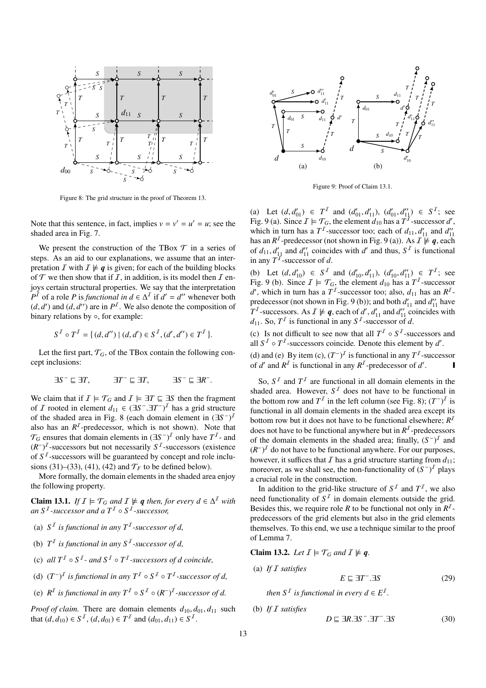

Figure 8: The grid structure in the proof of Theorem 13.

Note that this sentence, in fact, implies  $v = v' = u' = u$ ; see the shaded area in Fig. 7.

We present the construction of the TBox  $\mathcal T$  in a series of steps. As an aid to our explanations, we assume that an interpretation  $\overline{I}$  with  $\overline{I} \not\models q$  is given; for each of the building blocks of  $\mathcal T$  we then show that if  $I$ , in addition, is its model then  $I$  enjoys certain structural properties. We say that the interpretation *P*<sup>I</sup> of a role *P* is *functional in d* ∈  $\Delta$ <sup>*I*</sup> if *d'* = *d''* whenever both  $(d, d')$  and  $(d, d'')$  are in  $P<sup>T</sup>$ . We also denote the composition of binary relations by ◦, for example:

$$
S^{\mathcal{I}} \circ T^{\mathcal{I}} = \{ (d, d'') \mid (d, d') \in S^{\mathcal{I}}, (d', d'') \in T^{\mathcal{I}} \}.
$$

Let the first part,  $\mathcal{T}_G$ , of the TBox contain the following concept inclusions:

$$
\exists S^- \sqsubseteq \exists T, \qquad \exists T^- \sqsubseteq \exists T, \qquad \exists S^- \sqsubseteq \exists R^-.
$$

We claim that if  $\mathcal{I} \models \mathcal{T}_G$  and  $\mathcal{I} \models \exists T \sqsubseteq \exists S$  then the fragment of *I* rooted in element  $d_{11}$  ∈  $(\exists S^- \cdot \exists T^-)^T$  has a grid structure of the shaded area in Fig. 8 (each domain element in  $(\exists S^-)^T$ also has an  $R<sup>T</sup>$ -predecessor, which is not shown). Note that  $T_G$  ensures that domain elements in  $(\exists S^-)^T$  only have  $T^T$ - and  $(R^-)^T$ -successors but not necessarily  $S^T$ -successors (existence of  $S<sup>I</sup>$ -successors will be guaranteed by concept and role inclusions (31)–(33), (41), (42) and  $\mathcal{T}_F$  to be defined below).

More formally, the domain elements in the shaded area enjoy the following property.

**Claim 13.1.** *If*  $I \models T_G$  *and*  $I \not\models q$  *then, for every d*  $\in \Delta^I$  *with* an S <sup>I</sup> -successor and a T  $^I\circ S^I$  -successor,

- (a)  $S^I$  *is functional in any*  $T^I$ -successor of d,
- (b)  $T<sup>I</sup>$  is functional in any  $S<sup>I</sup>$ -successor of d,
- (c) all  $T^I \circ S^I$  and  $S^I \circ T^I$ -successors of d coincide,
- (d)  $(T^-)^I$  is functional in any  $T^I \circ S^I \circ T^I$ -successor of d,
- (e)  $R^I$  is functional in any  $T^I \circ S^I \circ (R^-)^I$ -successor of d.

*Proof of claim.* There are domain elements  $d_{10}$ ,  $d_{01}$ ,  $d_{11}$  such that  $(d, d_{10}) \in S^{\mathcal{I}}$ ,  $(d, d_{01}) \in T^{\mathcal{I}}$  and  $(d_{01}, d_{11}) \in S^{\mathcal{I}}$ .



Figure 9: Proof of Claim 13.1.

(a) Let  $(d, d'_{01}) \in T^T$  and  $(d'_{01}, d'_{11}), (d'_{01}, d''_{11}) \in S^T$ ; see Fig. 9 (a). Since  $I \models \mathcal{T}_G$ , the element  $d_{10}$  has a  $\overline{T}^{\overline{I}}$ -successor d', which in turn has a  $T^{\text{I}}$ -successor too; each of  $d_{11}$ ,  $d'_{11}$  and  $d''_{11}$ has an  $R^I$ -predecessor (not shown in Fig. 9 (a)). As  $I \not\models q$ , each of  $d_{11}$ ,  $d'_{11}$  and  $d''_{11}$  coincides with  $d'$  and thus,  $S^T$  is functional in any  $T^{\mathcal{I}}$ -successor of *d*.

(b) Let  $(d, d'_{10}) \in S^{\mathcal{I}}$  and  $(d'_{10}, d'_{11}), (d'_{10}, d''_{11}) \in T^{\mathcal{I}}$ ; see Fig. 9 (b). Since  $I \models \mathcal{T}_G$ , the element  $d_{10}$  has a  $T^I$ -successor  $d'$ , which in turn has a  $T<sup>T</sup>$ -successor too; also,  $d_{11}$  has an  $R<sup>T</sup>$ predecessor (not shown in Fig. 9 (b)); and both  $d'_{11}$  and  $d''_{11}$  have  $T^{\mathcal{I}}$ -successors. As  $\mathcal{I} \not\models q$ , each of  $d'$ ,  $d'_{11}$  and  $d''_{11}$  coincides with  $d_{11}$ . So,  $T^I$  is functional in any  $S^I$ -successor of *d*.

(c) Is not difficult to see now that all  $T^I \circ S^I$ -successors and all  $S^I \circ T^I$ -successors coincide. Denote this element by *d'*.

(d) and (e) By item (c),  $(T^{-})^T$  is functional in any  $T^T$ -successor of  $d'$  and  $R^I$  is functional in any  $R^I$ -predecessor of  $d'$  $\mathbf{I}$ 

So,  $S<sup>I</sup>$  and  $T<sup>I</sup>$  are functional in all domain elements in the shaded area. However,  $S<sup>T</sup>$  does not have to be functional in the bottom row and  $T^I$  in the left column (see Fig. 8);  $(T^-)^I$  is functional in all domain elements in the shaded area except its bottom row but it does not have to be functional elsewhere; *R* I does not have to be functional anywhere but in  $R<sup>I</sup>$ -predecessors of the domain elements in the shaded area; finally,  $(S^-)^T$  and  $(R^-)^T$  do not have to be functional anywhere. For our purposes, however, it suffices that  $I$  has a grid structure starting from  $d_{11}$ ; moreover, as we shall see, the non-functionality of  $(S^-)^T$  plays a crucial role in the construction.

In addition to the grid-like structure of  $S<sup>I</sup>$  and  $T<sup>I</sup>$ , we also need functionality of  $S<sup>I</sup>$  in domain elements outside the grid. Besides this, we require role *R* to be functional not only in  $R<sup>I</sup>$ predecessors of the grid elements but also in the grid elements themselves. To this end, we use a technique similar to the proof of Lemma 7.

*D* ⊑ ∃*R*.∃*S* − .∃*T* −

**Claim 13.2.** Let  $I \models \mathcal{T}_G$  and  $I \not\models q$ .

(a) *If* I *satisfies*

$$
E \sqsubseteq \exists T^- \Box S \tag{29}
$$

.∃*S* (30)

*then*  $S^I$  *is functional in every*  $d \in E^I$ *.* 

(b) *If* I *satisfies*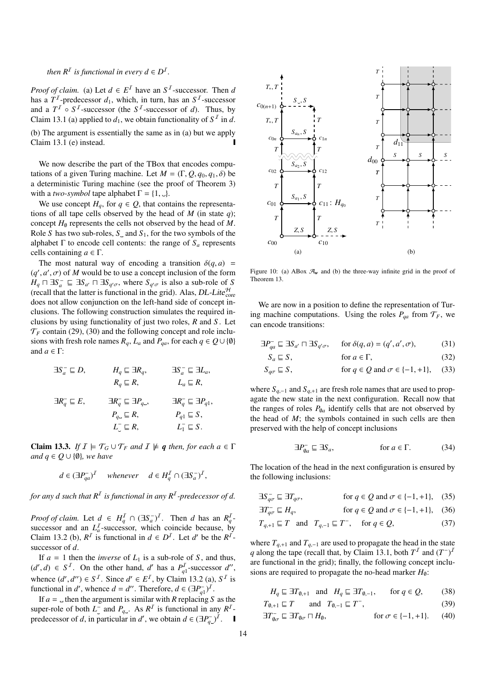## *then*  $R^I$  *is functional in every*  $d \in D^I$ .

*Proof of claim.* (a) Let  $d \in E^I$  have an  $S^I$ -successor. Then *d* has a  $T<sup>I</sup>$ -predecessor  $d_1$ , which, in turn, has an  $S<sup>I</sup>$ -successor and a  $T^I \circ S^I$ -successor (the  $S^I$ -successor of *d*). Thus, by Claim 13.1 (a) applied to  $d_1$ , we obtain functionality of  $S^I$  in  $d$ .

(b) The argument is essentially the same as in (a) but we apply Claim  $13.1$  (e) instead.

We now describe the part of the TBox that encodes computations of a given Turing machine. Let  $M = (\Gamma, Q, q_0, q_1, \delta)$  be a deterministic Turing machine (see the proof of Theorem 3) with a *two-symbol* tape alphabet  $\Gamma = \{1, \ldots\}.$ 

We use concept  $H_q$ , for  $q \in Q$ , that contains the representations of all tape cells observed by the head of  $M$  (in state  $q$ ); concept  $H_{\emptyset}$  represents the cells not observed by the head of *M*. Role *S* has two sub-roles,  $S_{\perp}$  and  $S_1$ , for the two symbols of the alphabet  $\Gamma$  to encode cell contents: the range of  $S_a$  represents cells containing  $a \in \Gamma$ .

The most natural way of encoding a transition  $\delta(q, a)$  =  $(q', a', \sigma)$  of *M* would be to use a concept inclusion of the form *H*<sup>q</sup>  $\Box S_a^-$  ⊑  $\exists S_{a'}$   $\Box S_{q'\sigma}$ , where  $S_{q'\sigma}$  is also a sub-role of *S* (recall that the latter is functional in the grid). Alas, DL-Lite $^{\mathcal{H}}_{\text{core}}$ does not allow conjunction on the left-hand side of concept inclusions. The following construction simulates the required inclusions by using functionality of just two roles, *R* and *S* . Let  $\mathcal{T}_F$  contain (29), (30) and the following concept and role inclusions with fresh role names  $R_q$ ,  $L_q$  and  $P_{qa}$ , for each  $q \in Q \cup \{\emptyset\}$ and  $a \in \Gamma$ :

$$
\exists S_a^- \sqsubseteq D, \qquad H_q \sqsubseteq \exists R_q, \qquad \exists S_a^- \sqsubseteq \exists L_a, \nR_q \sqsubseteq R, \qquad L_a \sqsubseteq R, \n\exists R_q^- \sqsubseteq \exists P_q., \qquad \exists R_q^- \sqsubseteq \exists P_q_1, \nP_{q_-} \sqsubseteq R, \qquad P_{q1} \sqsubseteq S, \nL_{\perp}^- \sqsubseteq R, \qquad L_{\perp}^- \sqsubseteq S.
$$

**Claim 13.3.** *If*  $I \models T_G \cup T_F$  *and*  $I \not\models q$  *then, for each*  $a \in \Gamma$ *and*  $q ∈ Q ∪ \{0\}$ *, we have* 

$$
d \in (\exists P_{qa}^-)^{\mathcal{I}}
$$
 whenever  $d \in H_q^{\mathcal{I}} \cap (\exists S_a^-)^{\mathcal{I}}$ ,

for any  $d$  such that  $R^I$  is functional in any  $R^I$ -predecessor of  $d$ .

*Proof of claim.* Let  $d \in H_q^{\mathcal{I}} \cap (\exists S_a^{-})^{\mathcal{I}}$ . Then *d* has an  $R_q^{\mathcal{I}}$ successor and an  $L_a^{\mathcal{I}}$ -successor, which coincide because, by Claim 13.2 (b),  $R^I$  is functional in  $d \in D^I$ . Let *d'* be the  $R^I$ successor of *d*.

If  $a = 1$  then the *inverse* of  $L_1$  is a sub-role of *S*, and thus,  $(d', d) \in S^{\mathcal{I}}$ . On the other hand, *d'* has a  $P_{q_1}^{\mathcal{I}}$ -successor *d''*, whence  $(d', d'') \in S^{\mathcal{I}}$ . Since  $d' \in E^{\mathcal{I}}$ , by Claim 13.2 (a),  $S^{\mathcal{I}}$  is functional in *d'*, whence  $d = d''$ . Therefore,  $d \in (\exists P_{q1}^{-})^{T}$ .

If  $a = \Delta$  then the argument is similar with *R* replacing *S* as the super-role of both  $L_{\_}$  and  $P_{q_{-}}$ . As  $R^I$  is functional in any  $R^I$ predecessor of *d*, in particular in *d'*, we obtain  $d \in (\exists P_q^{-})^T$  $\blacksquare$ 



Figure 10: (a) ABox  $\mathcal{A}_{w}$  and (b) the three-way infinite grid in the proof of Theorem 13.

We are now in a position to define the representation of Turing machine computations. Using the roles  $P_{qa}$  from  $\mathcal{T}_F$ , we can encode transitions:

$$
\exists P_{qa}^- \sqsubseteq \exists S_{a'} \sqcap \exists S_{q'\sigma}, \quad \text{for } \delta(q, a) = (q', a', \sigma), \tag{31}
$$

$$
S_a \sqsubseteq S, \qquad \text{for } a \in \Gamma, \tag{32}
$$

$$
S_{q\sigma} \sqsubseteq S, \qquad \text{for } q \in Q \text{ and } \sigma \in \{-1, +1\}, \quad (33)
$$

where  $S_{a,-1}$  and  $S_{a,+1}$  are fresh role names that are used to propagate the new state in the next configuration. Recall now that the ranges of roles  $P_{\theta a}$  identify cells that are not observed by the head of *M*; the symbols contained in such cells are then preserved with the help of concept inclusions

$$
\exists P_{\emptyset a}^{-} \sqsubseteq \exists S_{a}, \qquad \text{for } a \in \Gamma. \tag{34}
$$

The location of the head in the next configuration is ensured by the following inclusions:

$$
\exists S_{q\sigma}^{-} \sqsubseteq \exists T_{q\sigma}, \qquad \text{for } q \in Q \text{ and } \sigma \in \{-1, +1\}, \quad (35)
$$

$$
T_{q\sigma}^{-} \sqsubseteq H_{q}, \qquad \text{for } q \in Q \text{ and } \sigma \in \{-1, +1\}, \quad (36)
$$

$$
T_{q+1} \sqsubseteq T \quad \text{and} \quad T_{q,-1} \sqsubseteq T^-, \quad \text{for } q \in \mathcal{Q}, \tag{37}
$$

where  $T_{q,+1}$  and  $T_{q,-1}$  are used to propagate the head in the state q along the tape (recall that, by Claim 13.1, both  $T<sup>T</sup>$  and  $(T<sup>-</sup>)<sup>T</sup>$ are functional in the grid); finally, the following concept inclusions are required to propagate the no-head marker  $H_0$ :

$$
H_q \sqsubseteq \exists T_{0,+1} \quad \text{and} \quad H_q \sqsubseteq \exists T_{0,-1}, \qquad \text{for } q \in Q, \tag{38}
$$

$$
T_{0,+1} \sqsubseteq T \qquad \text{and} \quad T_{0,-1} \sqsubseteq T^-, \tag{39}
$$

$$
\exists T_{\emptyset \sigma}^{-} \sqsubseteq \exists T_{\emptyset \sigma} \sqcap H_{\emptyset}, \qquad \text{for } \sigma \in \{-1, +1\}. \tag{40}
$$

∃*T*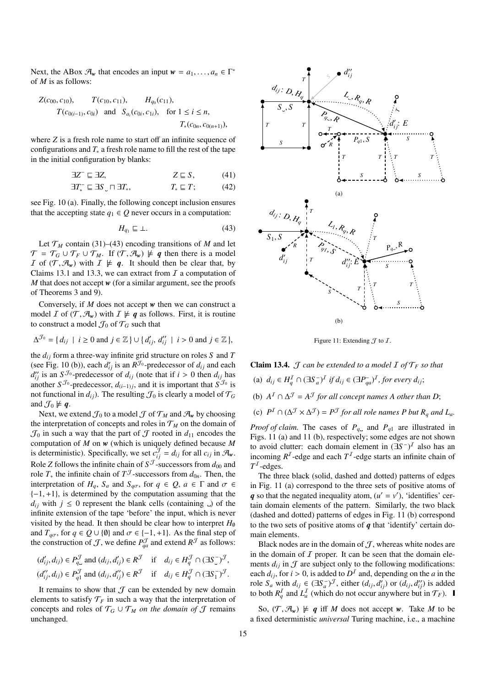Next, the ABox  $\mathcal{A}_{w}$  that encodes an input  $w = a_1, \dots, a_n \in \Gamma^*$ of *M* is as follows:

$$
Z(c_{00}, c_{10}), \t T(c_{10}, c_{11}), \t H_{q_0}(c_{11}),
$$
  
\n
$$
T(c_{0(i-1)}, c_{0i}) \text{ and } S_{a_i}(c_{0i}, c_{1i}), \text{ for } 1 \le i \le n,
$$
  
\n
$$
T_*(c_{0n}, c_{0(n+1)}),
$$

where *Z* is a fresh role name to start off an infinite sequence of configurations and *T*<sup>∗</sup> a fresh role name to fill the rest of the tape in the initial configuration by blanks:

$$
\exists Z^- \sqsubseteq \exists Z, \qquad Z \sqsubseteq S, \qquad (41)
$$

$$
\exists T_*^-\sqsubseteq \exists S \sqcup \sqcap \exists T_*, \qquad T_* \sqsubseteq T; \qquad (42)
$$

see Fig. 10 (a). Finally, the following concept inclusion ensures that the accepting state  $q_1 \in Q$  never occurs in a computation:

$$
H_{q_1} \sqsubseteq \bot. \tag{43}
$$

Let  $T_M$  contain (31)–(43) encoding transitions of *M* and let  $\mathcal{T} = \mathcal{T}_G \cup \mathcal{T}_F \cup \mathcal{T}_M$ . If  $(\mathcal{T}, \mathcal{A}_w) \not\models q$  then there is a model *I* of  $(\mathcal{T}, \mathcal{A}_{w})$  with  $I \not\models q$ . It should then be clear that, by Claims 13.1 and 13.3, we can extract from  $I$  a computation of *M* that does not accept *w* (for a similar argument, see the proofs of Theorems 3 and 9).

Conversely, if *M* does not accept *w* then we can construct a model *I* of  $(\mathcal{T}, \mathcal{A}_w)$  with  $I \not\models q$  as follows. First, it is routine to construct a model  $\mathcal{J}_0$  of  $\mathcal{T}_G$  such that

$$
\Delta^{\mathcal{J}_0} = \{ d_{ij} \mid i \geq 0 \text{ and } j \in \mathbb{Z} \} \cup \{ d'_{ij}, d''_{ij} \mid i > 0 \text{ and } j \in \mathbb{Z} \},
$$

the  $d_{ij}$  form a three-way infinite grid structure on roles *S* and *T* (see Fig. 10 (b)), each  $d'_{ij}$  is an  $R^{J_0}$ -predecessor of  $d_{ij}$  and each  $d_{ij}^{\prime\prime}$  is an  $S^{\mathcal{J}_0}$ -predecessor of  $d_{ij}$  (note that if  $i > 0$  then  $d_{ij}$  has another  $S^{\mathcal{J}_0}$ -predecessor,  $d_{(i-1)j}$ , and it is important that  $S^{\mathcal{J}_0}$  is not functional in  $d_{ij}$ ). The resulting  $\mathcal{J}_0$  is clearly a model of  $\mathcal{T}_G$ and  $\mathcal{J}_0 \not\models q$ .

Next, we extend  $\mathcal{J}_0$  to a model  $\mathcal{J}$  of  $\mathcal{T}_M$  and  $\mathcal{A}_w$  by choosing the interpretation of concepts and roles in  $T_M$  on the domain of  $\mathcal{J}_0$  in such a way that the part of  $\mathcal J$  rooted in  $d_{11}$  encodes the computation of *M* on *w* (which is uniquely defined because *M* is deterministic). Specifically, we set  $c_{ij}^{\mathcal{J}} = d_{ij}$  for all  $c_{ij}$  in  $\mathcal{A}_{w}$ . Role *Z* follows the infinite chain of  $S<sup>J</sup>$ -successors from  $d_{00}$  and role  $T_*$  the infinite chain of  $T^{\mathcal{J}}$ -successors from  $d_{0n}$ . Then, the interpretation of  $H_q$ ,  $S_q$  and  $S_{q\sigma}$ , for  $q \in Q$ ,  $a \in \Gamma$  and  $\sigma \in$  $\{-1, +1\}$ , is determined by the computation assuming that the  $d_{ij}$  with  $j \leq 0$  represent the blank cells (containing  $\Box$ ) of the infinite extension of the tape 'before' the input, which is never visited by the head. It then should be clear how to interpret  $H_0$ and  $T_{q\sigma}$ , for  $q \in Q \cup \{0\}$  and  $\sigma \in \{-1, +1\}$ . As the final step of the construction of  $J$ , we define  $P_{qa}^J$  and extend  $R^J$  as follows:

$$
(d'_{ij}, d_{ij}) \in P_{q}^{\mathcal{J}} \text{ and } (d_{ij}, d'_{ij}) \in R^{\mathcal{J}} \quad \text{if} \quad d_{ij} \in H_q^{\mathcal{J}} \cap (\exists S^{-})^{\mathcal{J}},
$$
  

$$
(d''_{ij}, d_{ij}) \in P_{q}^{\mathcal{J}} \text{ and } (d_{ij}, d''_{ij}) \in R^{\mathcal{J}} \quad \text{if} \quad d_{ij} \in H_q^{\mathcal{J}} \cap (\exists S^{-})^{\mathcal{J}}.
$$

It remains to show that  $J$  can be extended by new domain elements to satisfy  $\mathcal{T}_F$  in such a way that the interpretation of concepts and roles of  $T_G \cup T_M$  *on the domain of*  $J$  remains unchanged.



Figure 11: Extending  $\mathcal J$  to  $\mathcal I$ .

**Claim 13.4.**  $\mathcal J$  *can be extended to a model*  $I$  *of*  $\mathcal T_F$  *so that* 

\n- (a) 
$$
d_{ij} \in H_q^{\mathcal{I}} \cap (\exists S_a^{-})^{\mathcal{I}}
$$
 if  $d_{ij} \in (\exists P_{qa}^{-})^{\mathcal{I}}$ , for every  $d_{ij}$ ;
\n- (b)  $A^{\mathcal{I}} \cap \Delta^{\mathcal{I}} = A^{\mathcal{I}}$  for all concept names A other than D;
\n- (c)  $P^{\mathcal{I}} \cap (\Delta^{\mathcal{I}} \times \Delta^{\mathcal{I}}) = P^{\mathcal{I}}$  for all role names P but  $R_q$  and  $L_q$ .
\n

*Proof of claim.* The cases of  $P_{q}$  and  $P_{q1}$  are illustrated in Figs. 11 (a) and 11 (b), respectively; some edges are not shown to avoid clutter: each domain element in  $(\exists S^-)^T$  also has an incoming  $R<sup>I</sup>$ -edge and each  $T<sup>I</sup>$ -edge starts an infinite chain of  $T<sup>I</sup>$ -edges.

The three black (solid, dashed and dotted) patterns of edges in Fig. 11 (a) correspond to the three sets of positive atoms of *q* so that the negated inequality atom,  $(u' = v')$ , 'identifies' certain domain elements of the pattern. Similarly, the two black (dashed and dotted) patterns of edges in Fig. 11 (b) correspond to the two sets of positive atoms of *q* that 'identify' certain domain elements.

Black nodes are in the domain of  $J$ , whereas white nodes are in the domain of  $I$  proper. It can be seen that the domain elements  $d_{ij}$  in  $\mathcal T$  are subject only to the following modifications: each  $d_{ij}$ , for  $i > 0$ , is added to  $D<sup>T</sup>$  and, depending on the *a* in the role  $S_a$  with  $d_{ij} \in (\exists S_a^-)^{\mathcal{J}}$ , either  $(d_{ij}, d'_{ij})$  or  $(d_{ij}, d''_{ij})$  is added to both  $R_q^I$  and  $L_q^I$  (which do not occur anywhere but in  $\mathcal{T}_F$ ).  $\blacksquare$ 

So,  $(\mathcal{T}, \mathcal{A}_{w}) \not\models q$  iff *M* does not accept *w*. Take *M* to be a fixed deterministic *universal* Turing machine, i.e., a machine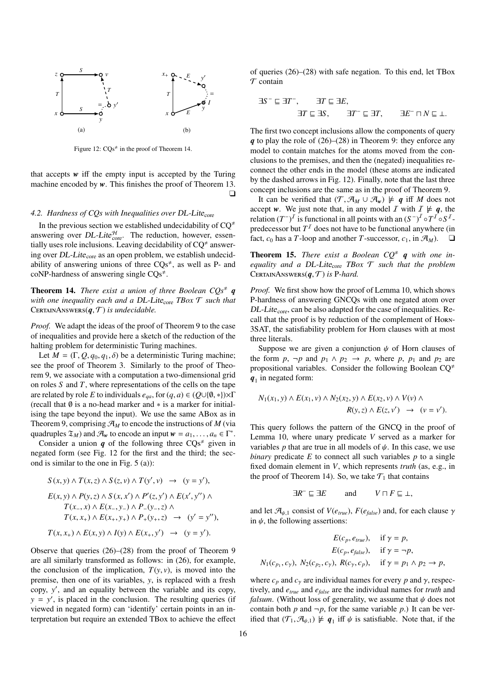

Figure 12:  $CQs^{\neq}$  in the proof of Theorem 14.

that accepts  $w$  iff the empty input is accepted by the Turing machine encoded by *w*. This finishes the proof of Theorem 13. ❑

### 4.2. Hardness of CQs with Inequalities over DL-Lite<sub>core</sub>

In the previous section we established undecidability of  $CQ^*$ answering over DL-Lite $_{\text{core}}^{\mathcal{H}}$ . The reduction, however, essentially uses role inclusions. Leaving decidability of  $CQ^*$  answering over  $DL\text{-}Life_{core}$  as an open problem, we establish undecidability of answering unions of three  $CQs^{\neq}$ , as well as P- and coNP-hardness of answering single  $CQs^{\neq}$ .

**Theorem 14.** *There exist a union of three Boolean*  $CQs^{\neq}$  *q with one inequality each and a DL-Lite<sub>core</sub>*  $TBox \mathcal{T}$  *such that* CertainAnswers(*q*,T) *is undecidable.*

*Proof.* We adapt the ideas of the proof of Theorem 9 to the case of inequalities and provide here a sketch of the reduction of the halting problem for deterministic Turing machines.

Let  $M = (\Gamma, Q, q_0, q_1, \delta)$  be a deterministic Turing machine; see the proof of Theorem 3. Similarly to the proof of Theorem 9, we associate with a computation a two-dimensional grid on roles *S* and *T*, where representations of the cells on the tape are related by role *E* to individuals  $e_{qa}$ , for  $(q, a) \in (Q \cup \{\emptyset, *\}) \times \Gamma$ (recall that  $\emptyset$  is a no-head marker and  $*$  is a marker for initialising the tape beyond the input). We use the same ABox as in Theorem 9, comprising  $\mathcal{A}_M$  to encode the instructions of M (via quadruples  $\mathfrak{T}_M$ ) and  $\mathfrak{R}_w$  to encode an input  $w = a_1, \ldots, a_n \in \Gamma^*$ .

Consider a union *q* of the following three  $CQs<sup>2</sup>$  given in negated form (see Fig. 12 for the first and the third; the second is similar to the one in Fig. 5 (a)):

$$
S(x, y) \wedge T(x, z) \wedge S(z, v) \wedge T(y', v) \rightarrow (y = y'),
$$
  
\n
$$
E(x, y) \wedge P(y, z) \wedge S(x, x') \wedge P'(z, y') \wedge E(x', y'') \wedge
$$
  
\n
$$
T(x, x) \wedge E(x_-, y_-) \wedge P_-(y_-, z) \wedge
$$
  
\n
$$
T(x, x_+) \wedge E(x_+, y_+) \wedge P_+(y_+, z) \rightarrow (y' = y''),
$$
  
\n
$$
T(x, x_+) \wedge E(x, y) \wedge I(y) \wedge E(x_+, y') \rightarrow (y = y').
$$

Observe that queries (26)–(28) from the proof of Theorem 9 are all similarly transformed as follows: in (26), for example, the conclusion of the implication,  $T(y, y)$ , is moved into the premise, then one of its variables, *y*, is replaced with a fresh copy, *y* ′ , and an equality between the variable and its copy,  $y = y'$ , is placed in the conclusion. The resulting queries (if viewed in negated form) can 'identify' certain points in an interpretation but require an extended TBox to achieve the effect

of queries (26)–(28) with safe negation. To this end, let TBox  $\mathcal T$  contain

$$
\exists S^- \sqsubseteq \exists T^-, \qquad \exists T \sqsubseteq \exists E, \exists T \sqsubseteq \exists S, \qquad \exists T^- \sqsubseteq \exists T, \qquad \exists E^- \sqcap N \sqsubseteq \bot.
$$

The first two concept inclusions allow the components of query *q* to play the role of (26)–(28) in Theorem 9: they enforce any model to contain matches for the atoms moved from the conclusions to the premises, and then the (negated) inequalities reconnect the other ends in the model (these atoms are indicated by the dashed arrows in Fig. 12). Finally, note that the last three concept inclusions are the same as in the proof of Theorem 9.

It can be verified that  $(\mathcal{T}, \mathcal{A}_M \cup \mathcal{A}_w) \not\models q$  iff *M* does not accept *w*. We just note that, in any model *I* with  $I \not\models q$ , the relation  $(T^-)^T$  is functional in all points with an  $(S^-)^T \circ T^T \circ S^T$ predecessor but  $T<sup>T</sup>$  does not have to be functional anywhere (in fact,  $c_0$  has a *T*-loop and another *T*-successor,  $c_1$ , in  $\mathcal{A}_M$ ).  $\square$ 

**Theorem 15.** *There exist a Boolean*  $CQ^{\neq}$  *q with one inequality and a DL-Lite<sub>core</sub> TBox*  $\mathcal T$  *such that the problem* CertainAnswers(*q*,T) *is* P*-hard.*

*Proof.* We first show how the proof of Lemma 10, which shows P-hardness of answering GNCQs with one negated atom over  $DL\text{-}Lite_{\text{core}}$ , can be also adapted for the case of inequalities. Recall that the proof is by reduction of the complement of Horn-3SAT, the satisfiability problem for Horn clauses with at most three literals.

Suppose we are given a conjunction  $\psi$  of Horn clauses of the form  $p$ ,  $\neg p$  and  $p_1 \land p_2 \rightarrow p$ , where  $p$ ,  $p_1$  and  $p_2$  are propositional variables. Consider the following Boolean  $CO<sup>2</sup>$ *q*1 in negated form:

$$
N_1(x_1, y) \wedge E(x_1, v) \wedge N_2(x_2, y) \wedge E(x_2, v) \wedge V(v) \wedge
$$
  
 
$$
R(y, z) \wedge E(z, v') \rightarrow (v = v').
$$

This query follows the pattern of the GNCQ in the proof of Lemma 10, where unary predicate *V* served as a marker for variables *p* that are true in all models of  $\psi$ . In this case, we use *binary* predicate  $E$  to connect all such variables  $p$  to a single fixed domain element in *V*, which represents *truth* (as, e.g., in the proof of Theorem 14). So, we take  $\mathcal{T}_1$  that contains

$$
\exists R^- \sqsubseteq \exists E \qquad \text{and} \qquad V \sqcap F \sqsubseteq \bot,
$$

and let  $\mathcal{A}_{\psi,1}$  consist of  $V(e_{true}), F(e_{false})$  and, for each clause  $\gamma$ in  $\psi$ , the following assertions:

$$
E(c_p, e_{true}), \quad \text{if } \gamma = p,
$$
  

$$
E(c_p, e_{false}), \quad \text{if } \gamma = \neg p,
$$
  

$$
N_1(c_{p_1}, c_{\gamma}), N_2(c_{p_2}, c_{\gamma}), R(c_{\gamma}, c_p), \quad \text{if } \gamma = p_1 \land p_2 \to p,
$$

where  $c_p$  and  $c_\gamma$  are individual names for every p and  $\gamma$ , respectively, and *etrue* and *efalse* are the individual names for *truth* and *falsum*. (Without loss of generality, we assume that  $\psi$  does not contain both  $p$  and  $\neg p$ , for the same variable  $p$ .) It can be verified that  $(\mathcal{T}_1, \mathcal{A}_{\psi,1}) \not\models q_1$  iff  $\psi$  is satisfiable. Note that, if the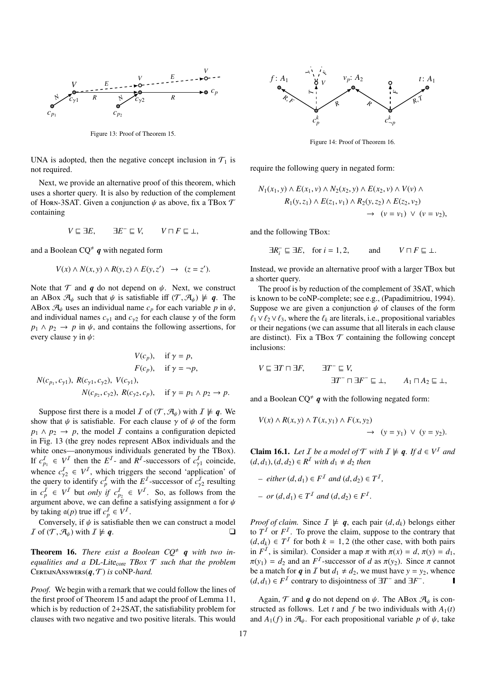

Figure 13: Proof of Theorem 15.

UNA is adopted, then the negative concept inclusion in  $\mathcal{T}_1$  is not required.

Next, we provide an alternative proof of this theorem, which uses a shorter query. It is also by reduction of the complement of Horn-3SAT. Given a conjunction  $\psi$  as above, fix a TBox  $\mathcal T$ containing

$$
V \sqsubseteq \exists E, \qquad \exists E^- \sqsubseteq V, \qquad V \sqcap F \sqsubseteq \bot,
$$

and a Boolean  $CQ^{\neq} q$  with negated form

$$
V(x) \wedge N(x, y) \wedge R(y, z) \wedge E(y, z') \rightarrow (z = z').
$$

Note that  $\mathcal T$  and  $q$  do not depend on  $\psi$ . Next, we construct an ABox  $\mathcal{A}_{\psi}$  such that  $\psi$  is satisfiable iff  $(\mathcal{T}, \mathcal{A}_{\psi}) \not\models q$ . The ABox  $\mathcal{A}_{\psi}$  uses an individual name  $c_p$  for each variable p in  $\psi$ , and individual names  $c_{\gamma1}$  and  $c_{\gamma2}$  for each clause  $\gamma$  of the form  $p_1 \wedge p_2 \rightarrow p$  in  $\psi$ , and contains the following assertions, for every clause  $\gamma$  in  $\psi$ :

$$
V(c_p), \quad \text{if } \gamma = p,
$$
  
\n
$$
F(c_p), \quad \text{if } \gamma = \neg p,
$$
  
\n
$$
N(c_{p_1}, c_{\gamma 1}), R(c_{\gamma 1}, c_{\gamma 2}), V(c_{\gamma 1}),
$$
  
\n
$$
N(c_{p_2}, c_{\gamma 2}), R(c_{\gamma 2}, c_p), \quad \text{if } \gamma = p_1 \land p_2 \to p.
$$

Suppose first there is a model *I* of  $(\mathcal{T}, \mathcal{A}_{\psi})$  with  $I \not\models q$ . We show that  $\psi$  is satisfiable. For each clause  $\gamma$  of  $\psi$  of the form  $p_1 \wedge p_2 \rightarrow p$ , the model *I* contains a configuration depicted in Fig. 13 (the grey nodes represent ABox individuals and the white ones—anonymous individuals generated by the TBox). If  $c_{p_1}^{\mathcal{I}} \in V^{\mathcal{I}}$  then the  $E^{\mathcal{I}}$ - and  $R^{\mathcal{I}}$ -successors of  $c_{\gamma 1}^{\mathcal{I}}$  coincide, whence  $c_{\gamma 2}^{\mathcal{I}} \in V^{\mathcal{I}}$ , which triggers the second 'application' of the query to identify  $c_p^I$  with the  $E^I$ -successor of  $c_{\gamma_2}^I$  resulting in  $c_p^I \in V^I$  but *only if*  $c_{p_2}^I \in V^I$ . So, as follows from the argument above, we can define a satisfying assignment a for  $\psi$ by taking  $a(p)$  true iff  $c_p^{\mathcal{I}} \in V^{\mathcal{I}}$ .

Conversely, if  $\psi$  is satisfiable then we can construct a model  $I$  of  $(\mathcal{T}, \mathcal{A}_{\psi})$  with  $I \not\models q$ .  $\Box$ 

**Theorem 16.** *There exist a Boolean*  $CO^{\neq}$  *q with two inequalities and a DL-Lite<sub>core</sub> TBox T such that the problem* CertainAnswers(*q*,T) *is* coNP*-hard.*

*Proof.* We begin with a remark that we could follow the lines of the first proof of Theorem 15 and adapt the proof of Lemma 11, which is by reduction of 2+2SAT, the satisfiability problem for clauses with two negative and two positive literals. This would



Figure 14: Proof of Theorem 16.

require the following query in negated form:

$$
N_1(x_1, y) \wedge E(x_1, v) \wedge N_2(x_2, y) \wedge E(x_2, v) \wedge V(v) \wedge
$$
  
\n
$$
R_1(y, z_1) \wedge E(z_1, v_1) \wedge R_2(y, z_2) \wedge E(z_2, v_2)
$$
  
\n
$$
\rightarrow (v = v_1) \vee (v = v_2),
$$

and the following TBox:

$$
\exists R_i^- \sqsubseteq \exists E
$$
, for  $i = 1, 2$ , and  $V \sqcap F \sqsubseteq \bot$ .

Instead, we provide an alternative proof with a larger TBox but a shorter query.

The proof is by reduction of the complement of 3SAT, which is known to be coNP-complete; see e.g., (Papadimitriou, 1994). Suppose we are given a conjunction  $\psi$  of clauses of the form  $\ell_1 \vee \ell_2 \vee \ell_3$ , where the  $\ell_k$  are literals, i.e., propositional variables or their negations (we can assume that all literals in each clause are distinct). Fix a TBox  $\mathcal T$  containing the following concept inclusions:

$$
V \sqsubseteq \exists T \sqcap \exists F, \qquad \exists T^- \sqsubseteq V, \exists T^- \sqcap \exists F^- \sqsubseteq \bot, \qquad A_1 \sqcap A_2 \sqsubseteq \bot,
$$

and a Boolean  $CQ^{\neq}$  *q* with the following negated form:

$$
V(x) \wedge R(x, y) \wedge T(x, y_1) \wedge F(x, y_2) \rightarrow (y = y_1) \vee (y = y_2).
$$

**Claim 16.1.** *Let I be a model of T with*  $I \not\models q$ *. If*  $d \in V^I$  *and*  $(d, d_1), (d, d_2) \in R^{\mathcal{I}}$  *with*  $d_1 \neq d_2$  *then* 

- either 
$$
(d, d_1) \in F^T
$$
 and  $(d, d_2) \in T^T$ ,  
- or  $(d, d_1) \in T^T$  and  $(d, d_2) \in F^T$ .

*Proof of claim.* Since  $I \not\models q$ , each pair  $(d, d_k)$  belongs either to  $T<sup>T</sup>$  or  $F<sup>T</sup>$ . To prove the claim, suppose to the contrary that  $(d, d_k)$  ∈  $T<sup>T</sup>$  for both  $k = 1, 2$  (the other case, with both pairs in  $F<sup>T</sup>$ , is similar). Consider a map  $\pi$  with  $\pi(x) = d$ ,  $\pi(y) = d_1$ ,  $\pi(y_1) = d_2$  and an  $F^{\mathcal{I}}$ -successor of *d* as  $\pi(y_2)$ . Since  $\pi$  cannot be a match for *q* in *I* but  $d_1 \neq d_2$ , we must have  $y = y_2$ , whence  $(d, d_1)$  ∈  $F<sup>T</sup>$  contrary to disjointness of ∃*T*<sup>−</sup> and ∃*F*<sup>−</sup>  $\mathbf{r} = \mathbf{r}$ 

Again,  $\mathcal T$  and  $q$  do not depend on  $\psi$ . The ABox  $\mathcal{A}_{\psi}$  is constructed as follows. Let *t* and *f* be two individuals with  $A_1(t)$ and  $A_1(f)$  in  $\mathcal{A}_{\psi}$ . For each propositional variable p of  $\psi$ , take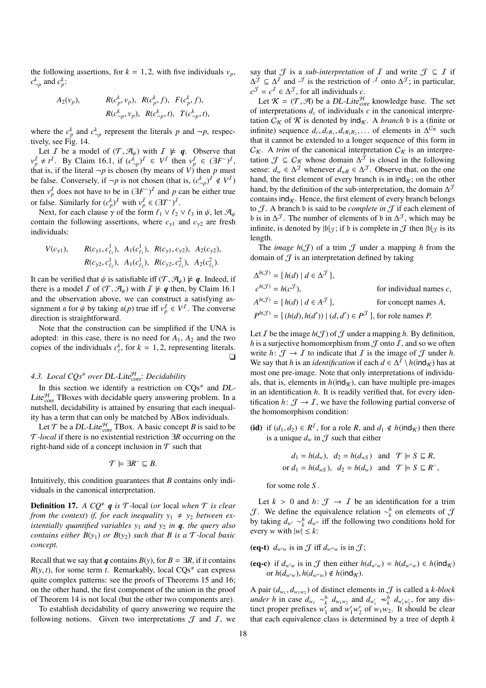the following assertions, for  $k = 1, 2$ , with five individuals  $v_p$ ,  $c_{\neg p}^k$  and  $c_p^k$ :

$$
A_2(v_p), \t R(c_p^k, v_p), \t R(c_p^k, f), \t F(c_p^k, f),
$$
  

$$
R(c_{-p}^k, v_p), \t R(c_{-p}^k, t), \t T(c_{-p}^k, t),
$$

where the  $c_p^k$  and  $c_{\neg p}^k$  represent the literals *p* and  $\neg p$ , respectively, see Fig. 14.

Let *I* be a model of  $(\mathcal{T}, \mathcal{A}_{\psi})$  with  $I \not\models q$ . Observe that  $v_p^I \neq t^I$ . By Claim 16.1, if  $(c_{\neg p}^k)^I \in V^I$  then  $v_p^I \in (\exists F^-)^I$ , that is, if the literal  $\neg p$  is chosen (by means of *V*) then *p* must be false. Conversely, if  $\neg p$  is not chosen (that is,  $(c_{\neg p}^k)^T \notin V^T$ ) then  $v_p^I$  does not have to be in  $(\exists F^-)^I$  and p can be either true or false. Similarly for  $(c_p^k)^T$  with  $v_p^T \in (\exists T^-)^T$ .

Next, for each clause  $\gamma$  of the form  $\ell_1 \vee \ell_2 \vee \ell_3$  in  $\psi$ , let  $\mathcal{A}_{\psi}$ contain the following assertions, where  $c_{\gamma1}$  and  $c_{\gamma2}$  are fresh individuals:

$$
V(c_{\gamma 1}), \qquad R(c_{\gamma 1}, c_{\ell_1}^1), \ A_1(c_{\ell_1}^1), \ R(c_{\gamma 1}, c_{\gamma 2}), \ A_2(c_{\gamma 2}),
$$

$$
R(c_{\gamma 2}, c_{\ell_2}^1), \ A_1(c_{\ell_2}^1), \ R(c_{\gamma 2}, c_{\ell_3}^2), \ A_2(c_{\ell_3}^2).
$$

It can be verified that  $\psi$  is satisfiable iff  $(\mathcal{T}, \mathcal{A}_{\psi}) \not\models q$ . Indeed, if there is a model *I* of  $(\mathcal{T}, \mathcal{A}_{\psi})$  with  $I \not\models q$  then, by Claim 16.1 and the observation above, we can construct a satisfying assignment a for  $\psi$  by taking  $a(p)$  true iff  $v_p^{\mathcal{I}} \in V^{\mathcal{I}}$ . The converse direction is straightforward.

Note that the construction can be simplified if the UNA is adopted: in this case, there is no need for  $A_1$ ,  $A_2$  and the two copies of the individuals  $c_k^k$ , for  $k = 1, 2$ , representing literals. ❑

## 4.3. Local CQs<sup> $\neq$ </sup> over DL-Lite<sup>H</sup><sub>core</sub>: Decidability

In this section we identify a restriction on  $CQs<sup>\neq</sup>$  and  $DL$ -Lite $^{H}_{\text{core}}$  TBoxes with decidable query answering problem. In a nutshell, decidability is attained by ensuring that each inequality has a term that can only be matched by ABox individuals.

Let  $\mathcal T$  be a DL-Lite $_{\text{core}}^{\mathcal H}$  TBox. A basic concept *B* is said to be T*-local* if there is no existential restriction ∃*R* occurring on the right-hand side of a concept inclusion in  $\mathcal T$  such that

$$
\mathcal{T}\models \exists R^-\sqsubseteq B.
$$

Intuitively, this condition guarantees that *B* contains only individuals in the canonical interpretation.

**Definition 17.** *A CQ<sup>* $\neq$ *</sup> q is*  $\mathcal{T}$ -local (*or* local *when*  $\mathcal{T}$  *is clear from the context) if, for each inequality*  $y_1 \neq y_2$  *between existentially quantified variables*  $y_1$  *and*  $y_2$  *in* **q***, the query also contains either B*( $y_1$ ) *or B*( $y_2$ ) *such that B is a* T-local basic *concept.*

Recall that we say that *q* contains *B*(*y*), for *B* =  $\exists$ *R*, if it contains  $R(y, t)$ , for some term *t*. Remarkably, local  $CQs<sup>\neq</sup>$  can express quite complex patterns: see the proofs of Theorems 15 and 16; on the other hand, the first component of the union in the proof of Theorem 14 is not local (but the other two components are).

To establish decidability of query answering we require the following notions. Given two interpretations  $\mathcal{J}$  and  $\mathcal{I}$ , we

say that  $\mathcal J$  is a *sub-interpretation* of  $\mathcal I$  and write  $\mathcal J \subseteq \mathcal I$  if  $\Delta^{\mathcal{J}} \subseteq \Delta^{\mathcal{I}}$  and  $\Delta^{\mathcal{J}}$  is the restriction of  $\Delta^{\mathcal{I}}$  onto  $\Delta^{\mathcal{J}}$ ; in particular,  $c^{\mathcal{J}} = c^{\mathcal{I}} \in \Delta^{\mathcal{J}}$ , for all individuals *c*.

Let  $K = (\mathcal{T}, \mathcal{A})$  be a DL-Lite $_{core}^{\mathcal{H}}$  knowledge base. The set of interpretations  $d_c$  of individuals  $c$  in the canonical interpretation  $C_K$  of K is denoted by  $\text{ind}_{K}$ . A *branch* b is a (finite or infinite) sequence  $d_c, d_{cR_1}, d_{cR_1R_2}, \ldots$  of elements in  $\Delta^{C_{\mathcal{K}}}$  such that it cannot be extended to a longer sequence of this form in  $C_{\mathcal{K}}$ . A *trim* of the canonical interpretation  $C_{\mathcal{K}}$  is an interpretation  $\mathcal{J} \subseteq C_{\mathcal{K}}$  whose domain  $\Delta^{\mathcal{J}}$  is closed in the following sense:  $d_w \in \Delta^{\mathcal{J}}$  whenever  $d_{wR} \in \Delta^{\mathcal{J}}$ . Observe that, on the one hand, the first element of every branch is in  $\text{ind}_{\mathcal{K}}$ ; on the other hand, by the definition of the sub-interpretation, the domain  $\Delta^{\mathcal{J}}$ contains ind<sub> $\kappa$ </sub>. Hence, the first element of every branch belongs to J. A branch b is said to be *complete in* J if each element of b is in  $\Delta^{\mathcal{J}}$ . The number of elements of b in  $\Delta^{\mathcal{J}}$ , which may be infinite, is denoted by  $|\mathfrak{b}|_{\mathcal{T}}$ ; if b is complete in  $\mathcal J$  then  $|\mathfrak{b}|_{\mathcal{T}}$  is its length.

The *image*  $h(\mathcal{J})$  of a trim  $\mathcal J$  under a mapping h from the domain of  $\mathcal J$  is an interpretation defined by taking

$$
\Delta^{h(\mathcal{J})} = \{ h(d) \mid d \in \Delta^{\mathcal{J}} \},
$$
  
\n
$$
c^{h(\mathcal{J})} = h(c^{\mathcal{J}}),
$$
 for individual names *c*,  
\n
$$
A^{h(\mathcal{J})} = \{ h(d) \mid d \in A^{\mathcal{J}} \},
$$
 for concept names *A*,  
\n
$$
P^{h(\mathcal{J})} = \{ (h(d), h(d')) \mid (d, d') \in P^{\mathcal{J}} \},
$$
 for role names *P*.

Let  $I$  be the image  $h(J)$  of  $J$  under a mapping  $h$ . By definition, *h* is a surjective homomorphism from  $\mathcal J$  onto  $\mathcal I$ , and so we often write  $h: \mathcal{J} \to I$  to indicate that *I* is the image of  $\mathcal{J}$  under *h*. We say that *h* is an *identification* if each  $d \in \Delta^{\mathcal{I}} \setminus h(\text{ind}_{\mathcal{K}})$  has at most one pre-image. Note that only interpretations of individuals, that is, elements in  $h(\text{ind}_{\mathcal{K}})$ , can have multiple pre-images in an identification *h*. It is readily verified that, for every identification *h*:  $\mathcal{J} \rightarrow \mathcal{I}$ , we have the following partial converse of the homomorphism condition:

(id) if  $(d_1, d_2) \in R^{\mathcal{I}}$ , for a role *R*, and  $d_1 \notin h(\text{ind}_{\mathcal{K}})$  then there is a unique  $d_w$  in  $\mathcal J$  such that either

$$
d_1 = h(d_w)
$$
,  $d_2 = h(d_w s)$  and  $\mathcal{T} \models S \sqsubseteq R$ ,  
or  $d_1 = h(d_w s)$ ,  $d_2 = h(d_w)$  and  $\mathcal{T} \models S \sqsubseteq R^-$ ,

for some role *S* .

Let  $k > 0$  and  $h: \mathcal{J} \to \mathcal{I}$  be an identification for a trim *J*. We define the equivalence relation  $\sim_k^h$  on elements of *J* by taking  $d_{w'} \sim_k^h d_{w''}$  iff the following two conditions hold for every *w* with  $|w| \leq k$ :

(eq-t)  $d_{w'w}$  is in  $\mathcal{J}$  iff  $d_{w''w}$  is in  $\mathcal{J}$ ;

(eq-c) if  $d_{w'w}$  is in  $\mathcal{J}$  then either  $h(d_{w'w}) = h(d_{w''w}) \in h(\text{ind}_{\mathcal{K}})$ or  $h(d_{w'w})$ ,  $h(d_{w''w}) \notin h(\text{ind}_{\mathcal{K}})$ .

A pair  $(d_{w_1}, d_{w_1w_2})$  of distinct elements in  $\mathcal T$  is called a *k-block under h* in case  $d_{w_1} \sim_k^h d_{w_1w_2}$  and  $d_{w'_1} \sim_k^h d_{w'_1w'_2}$ , for any distinct proper prefixes  $w_1^2$  and  $w_1'w_2'$  of  $w_1w_2$ . It should be clear that each equivalence class is determined by a tree of depth *k*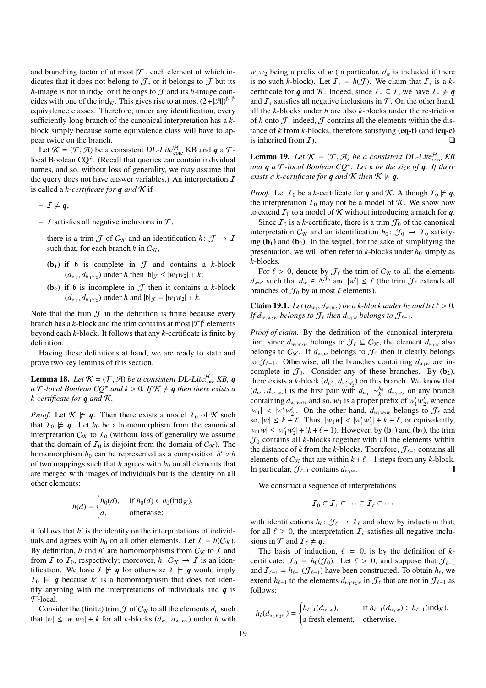and branching factor of at most  $|T|$ , each element of which indicates that it does not belong to  $J$ , or it belongs to  $J$  but its *h*-image is not in  $\text{ind}_{\mathcal{K}}$ , or it belongs to  $\mathcal{J}$  and its *h*-image coincides with one of the ind<sub>K</sub>. This gives rise to at most  $(2+|\mathcal{A}|)^{|\mathcal{T}|^k}$ equivalence classes. Therefore, under any identification, every sufficiently long branch of the canonical interpretation has a *k*block simply because some equivalence class will have to appear twice on the branch.

Let  $\mathcal{K} = (\mathcal{T}, \mathcal{A})$  be a consistent DL-Lite<sup> $\mathcal{H}_{\text{core}}$ </sup> KB and  $q$  a  $\mathcal{T}$ local Boolean  $CQ^{\neq}$ . (Recall that queries can contain individual names, and so, without loss of generality, we may assume that the query does not have answer variables.) An interpretation  $I$ is called a *k-certificate for q and* K if

- $-I \not\models q,$
- I satisfies all negative inclusions in  $\mathcal{T}$ ,
- there is a trim  $\mathcal J$  of  $C_{\mathcal K}$  and an identification  $h: \mathcal J \to I$ such that, for each branch b in  $C_{\mathcal{K}}$ ,
	- ( $\mathbf{b}_1$ ) if b is complete in  $\mathcal{J}$  and contains a *k*-block  $(d_{w_1}, d_{w_1w_2})$  under *h* then  $|b|_{\mathcal{J}} \leq |w_1w_2| + k$ ;
	- (**b**<sub>2</sub>) if b is incomplete in  $\mathcal{J}$  then it contains a *k*-block  $(d_{w_1}, d_{w_1w_2})$  under *h* and  $|b|_{\mathcal{J}} = |w_1w_2| + k$ .

Note that the trim  $\mathcal J$  in the definition is finite because every branch has a *k*-block and the trim contains at most  $|\mathcal{T}|^k$  elements beyond each *k*-block. It follows that any *k*-certificate is finite by definition.

Having these definitions at hand, we are ready to state and prove two key lemmas of this section.

**Lemma 18.** Let  $K = (\mathcal{T}, \mathcal{A})$  be a consistent DL-Lite $_{core}^{\mathcal{H}}$  KB, q *a*  $\mathcal{T}$ -local Boolean  $CQ^{\neq}$  and  $k > 0$ . If  $\mathcal{K} \not\models q$  then there exists a *k-certificate for q and* K*.*

*Proof.* Let  $K \not\models q$ . Then there exists a model  $I_0$  of K such that  $I_0 \not\models q$ . Let  $h_0$  be a homomorphism from the canonical interpretation  $C_K$  to  $I_0$  (without loss of generality we assume that the domain of  $I_0$  is disjoint from the domain of  $C_K$ ). The homomorphism  $h_0$  can be represented as a composition  $h' \circ h$ of two mappings such that *h* agrees with  $h_0$  on all elements that are merged with images of individuals but is the identity on all other elements:

$$
h(d) = \begin{cases} h_0(d), & \text{if } h_0(d) \in h_0(\text{ind}_{\mathcal{K}}), \\ d, & \text{otherwise}; \end{cases}
$$

it follows that *h* ′ is the identity on the interpretations of individuals and agrees with  $h_0$  on all other elements. Let  $\mathcal{I} = h(\mathcal{C}_K)$ . By definition, *h* and *h'* are homomorphisms from  $C_K$  to *I* and from *I* to  $I_0$ , respectively; moreover,  $h: C_K \to I$  is an identification. We have  $I \not\models q$  for otherwise  $I \models q$  would imply  $I_0 \models q$  because *h'* is a homomorphism that does not identify anything with the interpretations of individuals and *q* is T-local.

Consider the (finite) trim  $\mathcal J$  of  $C_{\mathcal K}$  to all the elements  $d_w$  such that  $|w| \le |w_1w_2| + k$  for all *k*-blocks  $(d_{w_1}, d_{w_1w_2})$  under *h* with

 $w_1w_2$  being a prefix of *w* (in particular,  $d_w$  is included if there is no such *k*-block). Let  $I_* = h(\mathcal{J})$ . We claim that  $I_*$  is a *k*certificate for *q* and *K*. Indeed, since  $I_* \subseteq I$ , we have  $I_* \not\models q$ and  $I_*$  satisfies all negative inclusions in  $\mathcal T$ . On the other hand, all the *k*-blocks under *h* are also *k*-blocks under the restriction of *h* onto  $\mathcal{T}$ : indeed,  $\mathcal{T}$  contains all the elements within the distance of *k* from *k*-blocks, therefore satisfying (eq-t) (and (eq-c) is inherited from  $I$ ).

**Lemma 19.** Let  $\mathcal{K} = (\mathcal{T}, \mathcal{A})$  be a consistent DL-Lite $_{core}^{\mathcal{H}}$  KB *and q a* T*-local Boolean CQ*, *. Let k be the size of q. If there exists a k-certificate for q and*  $K$  *then*  $K \not\models q$ *.* 

*Proof.* Let  $I_0$  be a *k*-certificate for *q* and *K*. Although  $I_0 \not\models q$ , the interpretation  $I_0$  may not be a model of  $K$ . We show how to extend  $I_0$  to a model of K without introducing a match for  $q$ .

Since  $I_0$  is a *k*-certificate, there is a trim  $\mathcal{J}_0$  of the canonical interpretation  $C_K$  and an identification  $h_0: \mathcal{J}_0 \to \mathcal{I}_0$  satisfying  $(b_1)$  and  $(b_2)$ . In the sequel, for the sake of simplifying the presentation, we will often refer to  $k$ -blocks under  $h_0$  simply as *k*-blocks.

For  $\ell > 0$ , denote by  $\mathcal{J}_{\ell}$  the trim of  $C_{\mathcal{K}}$  to all the elements *d*<sub>*ww*</sub>′ such that  $d_w$  ∈  $\Delta^{J_0}$  and  $|w'|$  ≤  $\ell$  (the trim  $J_\ell$  extends all branches of  $\mathcal{J}_0$  by at most  $\ell$  elements).

**Claim 19.1.** *Let*  $(d_{w_1}, d_{w_1w_2})$  *be a k-block under*  $h_0$  *and let*  $\ell > 0$ *. If*  $d_{w_1w_2w}$  belongs to  $\mathcal{J}_{\ell}$  then  $d_{w_1w}$  belongs to  $\mathcal{J}_{\ell-1}$ .

*Proof of claim.* By the definition of the canonical interpretation, since  $d_{w_1w_2w}$  belongs to  $\mathcal{J}_{\ell} \subseteq \mathcal{C}_{\mathcal{K}}$ , the element  $d_{w_1w}$  also belongs to  $C_{\mathcal{K}}$ . If  $d_{w_1w}$  belongs to  $\mathcal{J}_0$  then it clearly belongs to  $\mathcal{J}_{\ell-1}$ . Otherwise, all the branches containing  $d_{w_1w}$  are incomplete in  $\mathcal{J}_0$ . Consider any of these branches. By  $(b_2)$ , there exists a *k*-block  $(d_{w'_1}, d_{w'_1w'_2})$  on this branch. We know that  $(d_{w_1}, d_{w_1w_2})$  is the first pair with  $d_{w_1} \sim_k^{h_0} d_{w_1w_2}$  on any branch containing  $d_{w_1w_2w}$  and so,  $w_1$  is a proper prefix of  $w'_1w'_2$ , whence  $|w_1| < |w'_1w'_2|$ . On the other hand,  $d_{w_1w_2w}$  belongs to  $\mathcal{J}_\ell$  and so,  $|w| \leq k + \ell$ . Thus,  $|w_1w| < |w'_1w'_2| + k + \ell$ , or equivalently,  $|w_1w| \le |w'_1w'_2| + (k+\ell-1)$ . However, by (**b**<sub>1</sub>) and (**b**<sub>2</sub>), the trim  $\mathcal{J}_0$  contains all *k*-blocks together with all the elements within the distance of *k* from the *k*-blocks. Therefore,  $\mathcal{J}_{\ell-1}$  contains all elements of  $C_K$  that are within  $k + \ell - 1$  steps from any *k*-block. In particular,  $\mathcal{J}_{\ell-1}$  contains  $d_{w_1w}$ .

We construct a sequence of interpretations

$$
I_0 \subseteq I_1 \subseteq \cdots \subseteq I_\ell \subseteq \cdots
$$

with identifications  $h_{\ell} \colon \mathcal{J}_{\ell} \to \mathcal{I}_{\ell}$  and show by induction that, for all  $\ell \geq 0$ , the interpretation  $\mathcal{I}_{\ell}$  satisfies all negative inclusions in  $\mathcal T$  and  $\mathcal I_\ell \not\models q$ .

The basis of induction,  $\ell = 0$ , is by the definition of  $k$ certificate:  $I_0 = h_0(\mathcal{J}_0)$ . Let  $\ell > 0$ , and suppose that  $\mathcal{J}_{\ell-1}$ and  $I_{\ell-1} = h_{\ell-1}(\mathcal{J}_{\ell-1})$  have been constructed. To obtain  $h_{\ell}$ , we extend *h*<sub>ℓ−1</sub> to the elements  $d_{w_1w_2w}$  in  $\mathcal{J}_{\ell}$  that are not in  $\mathcal{J}_{\ell-1}$  as follows:

$$
h_{\ell}(d_{w_1w_2w}) = \begin{cases} h_{\ell-1}(d_{w_1w}), & \text{if } h_{\ell-1}(d_{w_1w}) \in h_{\ell-1}(\text{ind}_{\mathcal{K}}), \\ \text{a fresh element}, & \text{otherwise.} \end{cases}
$$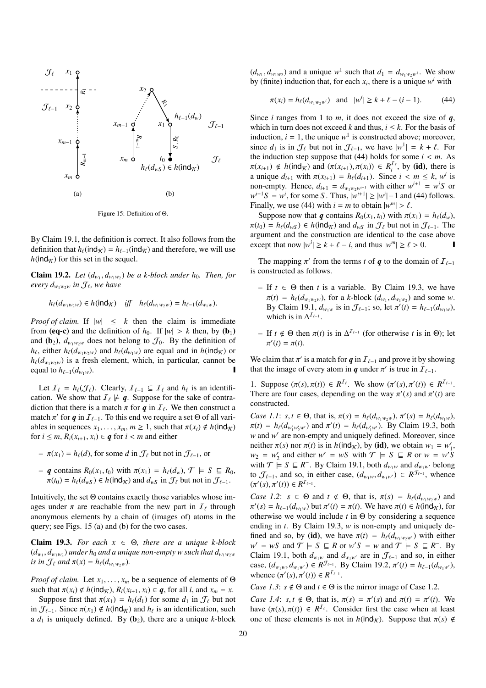

Figure 15: Definition of Θ.

By Claim 19.1, the definition is correct. It also follows from the definition that  $h_\ell(\text{ind}_{\mathcal{K}}) = h_{\ell-1}(\text{ind}_{\mathcal{K}})$  and therefore, we will use  $h(\text{ind}_{\mathcal{K}})$  for this set in the sequel.

**Claim 19.2.** *Let*  $(d_{w_1}, d_{w_1w_2})$  *be a k-block under h<sub>0</sub>. Then, for every d<sup>w</sup>*1*w*2*<sup>w</sup> in* J<sup>ℓ</sup> *, we have*

$$
h_{\ell}(d_{w_1w_2w})\in h(\mathrm{ind}_{\mathcal{K}})\quad \text{iff}\quad h_{\ell}(d_{w_1w_2w})=h_{\ell-1}(d_{w_1w}).
$$

*Proof of claim.* If  $|w| \leq k$  then the claim is immediate from (eq-c) and the definition of  $h_0$ . If  $|w| > k$  then, by (b<sub>1</sub>) and (**b**<sub>2</sub>),  $d_{w_1w_2w}$  does not belong to  $\mathcal{J}_0$ . By the definition of  $h_{\ell}$ , either  $h_{\ell}(d_{w_1w_2w})$  and  $h_{\ell}(d_{w_1w})$  are equal and in  $h(\text{ind}_{\mathcal{K}})$  or  $h_{\ell}(d_{w_1w_2w})$  is a fresh element, which, in particular, cannot be equal to  $h_{\ell-1}(d_{w_1w})$ .

Let  $\mathcal{I}_{\ell} = h_{\ell}(\mathcal{J}_{\ell})$ . Clearly,  $\mathcal{I}_{\ell-1} \subseteq \mathcal{I}_{\ell}$  and  $h_{\ell}$  is an identification. We show that  $I_{\ell} \not\models q$ . Suppose for the sake of contradiction that there is a match  $\pi$  for  $q$  in  $\mathcal{I}_{\ell}$ . We then construct a match  $\pi'$  for  $q$  in  $\mathcal{I}_{\ell-1}$ . To this end we require a set  $\Theta$  of all variables in sequences  $x_1, \ldots, x_m, m \ge 1$ , such that  $\pi(x_i) \notin h(\text{ind}_{\mathcal{K}})$ for  $i \leq m$ ,  $R_i(x_{i+1}, x_i) \in q$  for  $i < m$  and either

- $-\pi(x_1) = h_\ell(d)$ , for some *d* in  $\mathcal{J}_\ell$  but not in  $\mathcal{J}_{\ell-1}$ , or
- $q$  contains  $R_0(x_1, t_0)$  with  $\pi(x_1) = h_\ell(d_w)$ ,  $\mathcal{T} \models S \sqsubseteq R_0$ ,  $\pi(t_0) = h_\ell(d_{\text{wS}}) \in h(\text{ind}_{\mathcal{K}})$  and  $d_{\text{wS}}$  in  $\mathcal{J}_\ell$  but not in  $\mathcal{J}_{\ell-1}$ .

Intuitively, the set  $\Theta$  contains exactly those variables whose images under  $\pi$  are reachable from the new part in  $\mathcal{I}_{\ell}$  through anonymous elements by a chain of (images of) atoms in the query; see Figs. 15 (a) and (b) for the two cases.

**Claim 19.3.** *For each*  $x \in \Theta$ *, there are a unique k-block*  $(d_{w_1}, d_{w_1w_2})$  under  $h_0$  and a unique non-empty w such that  $d_{w_1w_2w_3}$ *is in*  $\mathcal{J}_{\ell}$  *and*  $\pi(x) = h_{\ell}(d_{w_1w_2w})$ *.* 

*Proof of claim.* Let *x*1, . . . , *x<sup>m</sup>* be a sequence of elements of Θ such that  $\pi(x_i) \notin h(\text{ind}_{\mathcal{K}}), R_i(x_{i+1}, x_i) \in \mathbf{q}$ , for all *i*, and  $x_m = x$ .

Suppose first that  $\pi(x_1) = h_{\ell}(d_1)$  for some  $d_1$  in  $\mathcal{J}_{\ell}$  but not in  $\mathcal{J}_{\ell-1}$ . Since  $\pi(x_1) \notin h(\text{ind}_{\mathcal{K}})$  and  $h_{\ell}$  is an identification, such a  $d_1$  is uniquely defined. By  $(b_2)$ , there are a unique *k*-block

 $(d_{w_1}, d_{w_1w_2})$  and a unique  $w^1$  such that  $d_1 = d_{w_1w_2w^1}$ . We show by (finite) induction that, for each  $x_i$ , there is a unique  $w^i$  with

$$
\pi(x_i) = h_\ell(d_{w_1 w_2 w^i}) \text{ and } |w^i| \ge k + \ell - (i - 1). \tag{44}
$$

Since *i* ranges from 1 to *m*, it does not exceed the size of *q*, which in turn does not exceed *k* and thus,  $i \leq k$ . For the basis of induction,  $i = 1$ , the unique  $w<sup>1</sup>$  is constructed above; moreover, since  $d_1$  is in  $\mathcal{J}_{\ell}$  but not in  $\mathcal{J}_{\ell-1}$ , we have  $|w^1| = k + \ell$ . For the induction step suppose that  $(44)$  holds for some  $i < m$ . As  $\pi(x_{i+1}) \notin h(\text{ind}_{\mathcal{K}})$  and  $(\pi(x_{i+1}), \pi(x_i)) \in R_i^{\mathcal{I}_{\ell}}$ , by (id), there is a unique  $d_{i+1}$  with  $\pi(x_{i+1}) = h_{\ell}(d_{i+1})$ . Since  $i < m \leq k$ ,  $w^{i}$  is non-empty. Hence,  $d_{i+1} = d_{w_1w_2w^{i+1}}$  with either  $w^{i+1} = w^iS$  or  $w^{i+1}S = w^i$ , for some *S*. Thus,  $|w^{i+1}| \ge |w^i| - 1$  and (44) follows. Finally, we use (44) with  $i = m$  to obtain  $|w^m| > \ell$ .

Suppose now that *q* contains  $R_0(x_1, t_0)$  with  $\pi(x_1) = h_\ell(d_w)$ ,  $\pi(t_0) = h_\ell(d_{\nu\delta}) \in h(\text{ind}_{\mathcal{K}})$  and  $d_{\nu\delta}$  in  $\mathcal{J}_\ell$  but not in  $\mathcal{J}_{\ell-1}$ . The argument and the construction are identical to the case above except that now  $|w^i| \ge k + \ell - i$ , and thus  $|w^m| \ge \ell > 0$ .

The mapping  $\pi'$  from the terms *t* of **q** to the domain of  $I_{\ell-1}$ is constructed as follows.

- If *t* ∈ Θ then *t* is a variable. By Claim 19.3, we have  $\pi(t) = h_{\ell}(d_{w_1w_2w})$ , for a *k*-block  $(d_{w_1}, d_{w_1w_2})$  and some *w*. By Claim 19.1,  $d_{w_1w}$  is in  $\mathcal{J}_{\ell-1}$ ; so, let  $\pi'(t) = h_{\ell-1}(d_{w_1w})$ , which is in  $\Delta^{I_{\ell-1}}$ .
- $-$  If *t* ∉  $\Theta$  then  $\pi(t)$  is in  $\Delta^{I_{\ell-1}}$  (for otherwise *t* is in  $\Theta$ ); let  $\pi'(t) = \pi(t).$

We claim that  $\pi'$  is a match for  $q$  in  $\mathcal{I}_{\ell-1}$  and prove it by showing that the image of every atom in *q* under  $\pi'$  is true in  $\mathcal{I}_{\ell-1}$ .

1. Suppose  $(\pi(s), \pi(t)) \in R^{\mathcal{I}_{\ell}}$ . We show  $(\pi'(s), \pi'(t)) \in R^{\mathcal{I}_{\ell-1}}$ . There are four cases, depending on the way  $\pi'(s)$  and  $\pi'(t)$  are constructed.

*Case 1.1*:  $s, t \in \Theta$ , that is,  $\pi(s) = h_{\ell}(d_{w_1w_2w}), \pi'(s) = h_{\ell}(d_{w_1w})$ ,  $\pi(t) = h_{\ell}(d_{w'_1 w'_2 w'})$  and  $\pi'(t) = h_{\ell}(d_{w'_1 w'})$ . By Claim 19.3, both w and w' are non-empty and uniquely defined. Moreover, since neither  $\pi(s)$  nor  $\pi(t)$  is in  $h(\text{ind}_{\mathcal{K}})$ , by (id), we obtain  $w_1 = w'_1$ ,  $w_2 = w'_2$  and either  $w' = wS$  with  $\mathcal{T} \models S \sqsubseteq R$  or  $w = w'S$ with  $\mathcal{T}$   $\stackrel{=}{\models}$  *S*  $\subseteq$  *R*<sup>−</sup>. By Claim 19.1, both  $d_{w_1w}$  and  $d_{w_1w'}$  belong to  $\mathcal{J}_{\ell-1}$ , and so, in either case,  $(d_{w_1w}, d_{w_1w'}) \in R^{\mathcal{J}_{\ell-1}}$ , whence  $(\pi'(s), \pi'(t)) \in R^{\mathcal{I}_{\ell-1}}.$ 

*Case 1.2*:  $s \in \Theta$  and  $t \notin \Theta$ , that is,  $\pi(s) = h_{\ell}(d_{w_1w_2w})$  and  $\pi'(s) = h_{\ell-1}(d_{w_1w})$  but  $\pi'(t) = \pi(t)$ . We have  $\pi(t) \in h(\text{ind}_{\mathcal{K}})$ , for otherwise we would include *t* in Θ by considering a sequence ending in *t*. By Claim 19.3, *w* is non-empty and uniquely defined and so, by (id), we have  $\pi(t) = h_{\ell}(d_{w_1w_2w'})$  with either  $w' = wS$  and  $\mathcal{T} \models S \sqsubseteq R$  or  $w'S = w$  and  $\mathcal{T} \models S \sqsubseteq R^{-}$ . By Claim 19.1, both  $d_{w_1w}$  and  $d_{w_1w'}$  are in  $\mathcal{J}_{\ell-1}$  and so, in either case,  $(d_{w_1w}, d_{w_1w'}) \in R^{\mathcal{J}_{\ell-1}}$ . By Claim 19.2,  $\pi'(t) = h_{\ell-1}(d_{w_1w'})$ , whence  $(\pi'(s), \pi'(t)) \in R^{\mathcal{I}_{\ell-1}}$ .

*Case 1.3*:  $s \notin \Theta$  and  $t \in \Theta$  is the mirror image of Case 1.2.

*Case 1.4*:  $s, t \notin \Theta$ , that is,  $\pi(s) = \pi'(s)$  and  $\pi(t) = \pi'(t)$ . We have  $(\pi(s), \pi(t)) \in R^{\mathcal{I}_{\ell}}$ . Consider first the case when at least one of these elements is not in  $h(\text{ind}_{\mathcal{K}})$ . Suppose that  $\pi(s) \notin$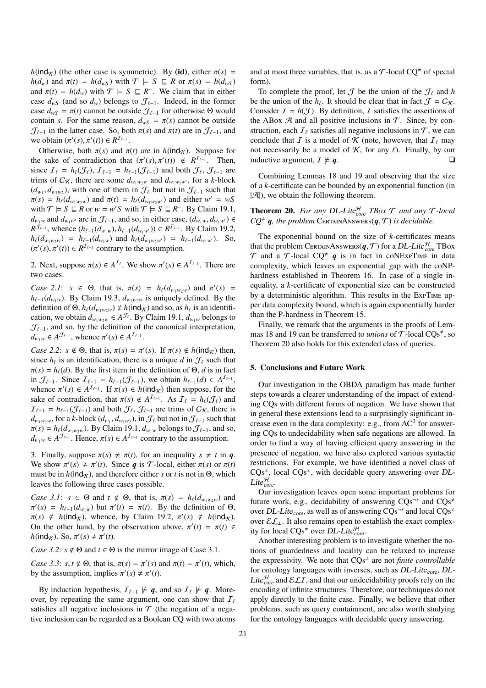$h(\text{ind}_{\mathcal{K}})$  (the other case is symmetric). By (id), either  $\pi(s)$  = *h*(*d<sub>w</sub>*) and  $\pi(t) = h(d_{\text{wS}})$  with  $\mathcal{T} \models S \sqsubseteq R$  or  $\pi(s) = h(d_{\text{wS}})$ and  $\pi(t) = h(d_w)$  with  $\mathcal{T} \models S \sqsubseteq R^-$ . We claim that in either case  $d_{wS}$  (and so  $d_w$ ) belongs to  $\mathcal{J}_{\ell-1}$ . Indeed, in the former case  $d_{wS} = \pi(t)$  cannot be outside  $\mathcal{J}_{\ell-1}$  for otherwise  $\Theta$  would contain *s*. For the same reason,  $d_{wS} = \pi(s)$  cannot be outside  $\mathcal{J}_{\ell-1}$  in the latter case. So, both  $\pi(s)$  and  $\pi(t)$  are in  $\mathcal{J}_{\ell-1}$ , and we obtain  $(\pi'(s), \pi'(t)) \in R^{\mathcal{I}_{\ell-1}}$ .

Otherwise, both  $\pi(s)$  and  $\pi(t)$  are in  $h(\text{ind}_{\mathcal{K}})$ . Suppose for the sake of contradiction that  $(\pi'(s), \pi'(t)) \notin R^{I_{\ell-1}}$ . Then, since  $\mathcal{I}_{\ell} = h_{\ell}(\mathcal{J}_{\ell}), \mathcal{I}_{\ell-1} = h_{\ell-1}(\mathcal{J}_{\ell-1})$  and both  $\mathcal{J}_{\ell}, \mathcal{J}_{\ell-1}$  are trims of  $C_K$ , there are some  $d_{w_1w_2w}$  and  $d_{w_1w_2w'}$ , for a *k*-block  $(d_{w_1}, d_{w_1w_2})$ , with one of them in  $\mathcal{J}_{\ell}$  but not in  $\mathcal{J}_{\ell-1}$  such that  $\pi(s) = h_{\ell}(d_{w_1w_2w})$  and  $\pi(t) = h_{\ell}(d_{w_1w_2w})$  and either  $w' = wS$ with  $\mathcal{T} \models S \sqsubseteq R$  or  $w = w'S$  with  $\mathcal{T} \models S \sqsubseteq R^-$ . By Claim 19.1,  $d_{w_1w}$  and  $d_{w_1w'}$  are in  $\mathcal{J}_{\ell-1}$ , and so, in either case,  $(d_{w_1w}, d_{w_1w'}) \in$ *R*<sup>T<sub>ℓ−1</sub></sup>, whence  $(h_{\ell-1}(d_{w_1w}), h_{\ell-1}(d_{w_1w'}))$  ∈ *R*<sup>I</sup><sub>ℓ−1</sub></sub>. By Claim 19.2,  $h_{\ell}(d_{w_1w_2w}) = h_{\ell-1}(d_{w_1w})$  and  $h_{\ell}(d_{w_1w_2w'}) = h_{\ell-1}(d_{w_1w'})$ . So,  $(\pi'(s), \pi'(t)) \in R^{\mathcal{I}_{\ell-1}}$  contrary to the assumption.

2. Next, suppose  $\pi(s) \in A^{I_{\ell}}$ . We show  $\pi'(s) \in A^{I_{\ell-1}}$ . There are two cases.

*Case 2.1*:  $s \in \Theta$ , that is,  $\pi(s) = h_{\ell}(d_{w_1w_2w})$  and  $\pi'(s) =$ *h*<sub>ℓ−1</sub>( $d_{w_1w}$ ). By Claim 19.3,  $d_{w_1w_2w}$  is uniquely defined. By the definition of  $\Theta$ ,  $h_{\ell}(d_{w_1w_2w}) \notin h(\text{ind}_{\mathcal{K}})$  and so, as  $h_{\ell}$  is an identification, we obtain  $d_{w_1w_2w} \in A^{\mathcal{J}_{\ell}}$ . By Claim 19.1,  $d_{w_1w}$  belongs to  $\mathcal{J}_{\ell-1}$ , and so, by the definition of the canonical interpretation,  $d_{w_1w} \in A^{\mathcal{J}_{\ell-1}}$ , whence  $\pi'(s) \in A^{\mathcal{I}_{\ell-1}}$ .

*Case 2.2*:  $s \notin \Theta$ , that is,  $\pi(s) = \pi'(s)$ . If  $\pi(s) \notin h(\text{ind}_{\mathcal{K}})$  then, since  $h_{\ell}$  is an identification, there is a unique  $d$  in  $\mathcal{J}_{\ell}$  such that  $\pi(s) = h_{\ell}(d)$ . By the first item in the definition of  $\Theta$ , *d* is in fact in  $\mathcal{J}_{\ell-1}$ . Since  $\mathcal{I}_{\ell-1} = h_{\ell-1}(\mathcal{J}_{\ell-1})$ , we obtain  $h_{\ell-1}(d) \in A^{\mathcal{I}_{\ell-1}}$ , whence  $\pi'(s) \in A^{I_{\ell-1}}$ . If  $\pi(s) \in h(\text{ind}_{\mathcal{K}})$  then suppose, for the sake of contradiction, that  $\pi(s) \notin A^{I_{\ell-1}}$ . As  $I_{\ell} = h_{\ell}(\mathcal{J}_{\ell})$  and  $I_{\ell-1} = h_{\ell-1}(\mathcal{J}_{\ell-1})$  and both  $\mathcal{J}_{\ell}, \mathcal{J}_{\ell-1}$  are trims of  $C_K$ , there is  $d_{w_1w_2w}$ , for a *k*-block  $(d_{w_1}, d_{w_1w_2})$ , in  $\mathcal{J}_{\ell}$  but not in  $\mathcal{J}_{\ell-1}$  such that  $\pi(s) = h_{\ell}(d_{w_1w_2w})$ . By Claim 19.1,  $d_{w_1w}$  belongs to  $\mathcal{J}_{\ell-1}$ , and so,  $d_{w_1w} \in A^{\mathcal{J}_{\ell-1}}$ . Hence,  $\pi(s) \in A^{\mathcal{I}_{\ell-1}}$  contrary to the assumption.

3. Finally, suppose  $\pi(s) \neq \pi(t)$ , for an inequality  $s \neq t$  in *q*. We show  $\pi'(s) \neq \pi'(t)$ . Since *q* is *T*-local, either  $\pi(s)$  or  $\pi(t)$ must be in  $h(\text{ind}_{\mathcal{K}})$ , and therefore either *s* or *t* is not in  $\Theta$ , which leaves the following three cases possible.

*Case 3.1*:  $s \in \Theta$  and  $t \notin \Theta$ , that is,  $\pi(s) = h_{\ell}(d_{w_1w_2w})$  and  $\pi'(s) = h_{\ell-1}(d_{w_1w})$  but  $\pi'(t) = \pi(t)$ . By the definition of  $\Theta$ ,  $\pi(s) \notin h(\text{ind}_{\mathcal{K}})$ , whence, by Claim 19.2,  $\pi'(s) \notin h(\text{ind}_{\mathcal{K}})$ . On the other hand, by the observation above,  $\pi'(t) = \pi(t) \in$  $h(\text{ind}_{\mathcal{K}})$ . So,  $\pi'(s) \neq \pi'(t)$ .

*Case* 3.2:  $s \notin \Theta$  and  $t \in \Theta$  is the mirror image of Case 3.1.

*Case 3.3*:  $s, t \notin \Theta$ , that is,  $\pi(s) = \pi'(s)$  and  $\pi(t) = \pi'(t)$ , which, by the assumption, implies  $\pi'(s) \neq \pi'(t)$ .

By induction hypothesis,  $\mathcal{I}_{\ell-1} \not\models q$ , and so  $\mathcal{I}_{\ell} \not\models q$ . Moreover, by repeating the same argument, one can show that  $I_\ell$ satisfies all negative inclusions in  $\mathcal T$  (the negation of a negative inclusion can be regarded as a Boolean CQ with two atoms

and at most three variables, that is, as a  $\mathcal{T}$ -local CQ<sup> $\neq$ </sup> of special form).

To complete the proof, let  $\mathcal J$  be the union of the  $\mathcal J_\ell$  and  $h$ be the union of the  $h_{\ell}$ . It should be clear that in fact  $\mathcal{J} = C_{\mathcal{K}}$ . Consider  $I = h(\mathcal{J})$ . By definition, *I* satisfies the assertions of the ABox  $\mathcal A$  and all positive inclusions in  $\mathcal T$ . Since, by construction, each  $\mathcal{I}_{\ell}$  satisfies all negative inclusions in  $\mathcal{T}$ , we can conclude that I is a model of K (note, however, that  $I_\ell$  may not necessarily be a model of  $\mathcal K$ , for any  $\ell$ ). Finally, by our inductive argument,  $\mathcal{I} \not\models q$ .

Combining Lemmas 18 and 19 and observing that the size of a *k*-certificate can be bounded by an exponential function (in  $|\mathcal{A}|$ ), we obtain the following theorem.

## **Theorem 20.** For any DL-Lite<sub>core</sub> TBox  $\mathcal T$  and any  $\mathcal T$ -local  $CQ^{\neq}$  *q, the problem* CERTAINANSWERS(*q*, *T*) *is decidable.*

The exponential bound on the size of *k*-certificates means that the problem CERTAINANSWERS( $q, \mathcal{T}$ ) for a DL-Lite $_{core}^{\mathcal{H}}$  TBox  $\mathcal T$  and a  $\mathcal T$ -local CQ<sup> $\neq$ </sup> q is in fact in coNExpTIME in data complexity, which leaves an exponential gap with the coNPhardness established in Theorem 16. In case of a single inequality, a *k*-certificate of exponential size can be constructed by a deterministic algorithm. This results in the ExpTime upper data complexity bound, which is again exponentially harder than the P-hardness in Theorem 15.

Finally, we remark that the arguments in the proofs of Lemmas 18 and 19 can be transferred to *unions* of  $T$ -local CQs<sup> $\neq$ </sup>, so Theorem 20 also holds for this extended class of queries.

## 5. Conclusions and Future Work

Our investigation in the OBDA paradigm has made further steps towards a clearer understanding of the impact of extending CQs with different forms of negation. We have shown that in general these extensions lead to a surprisingly significant increase even in the data complexity: e.g., from  $AC^0$  for answering CQs to undecidability when safe negations are allowed. In order to find a way of having efficient query answering in the presence of negation, we have also explored various syntactic restrictions. For example, we have identified a novel class of  $CQs^{\neq}$ , local  $CQs^{\neq}$ , with decidable query answering over DL-Lite $_{\rm core}^{\mathcal{H}}$ .

Our investigation leaves open some important problems for future work, e.g., decidability of answering  $CQs^{-s}$  and  $CQs^*$ over DL-Lite<sub>core</sub>, as well as of answering  $CQs^{-s}$  and local  $CQs^*$ over  $\mathcal{EL}_\perp$ . It also remains open to establish the exact complexity for local  $CQs^{\neq}$  over DL-Lite $_{core}^{\mathcal{H}}$ .

Another interesting problem is to investigate whether the notions of guardedness and locality can be relaxed to increase the expressivity. We note that CQs<sup>#</sup> are not *finite controllable* for ontology languages with inverses, such as  $DL\text{-}Life_{core}$ ,  $DL\text{-}$ Lite $_{core}^{\mathcal{H}}$  and  $\mathcal{ELI}$ , and that our undecidability proofs rely on the encoding of infinite structures. Therefore, our techniques do not apply directly to the finite case. Finally, we believe that other problems, such as query containment, are also worth studying for the ontology languages with decidable query answering.